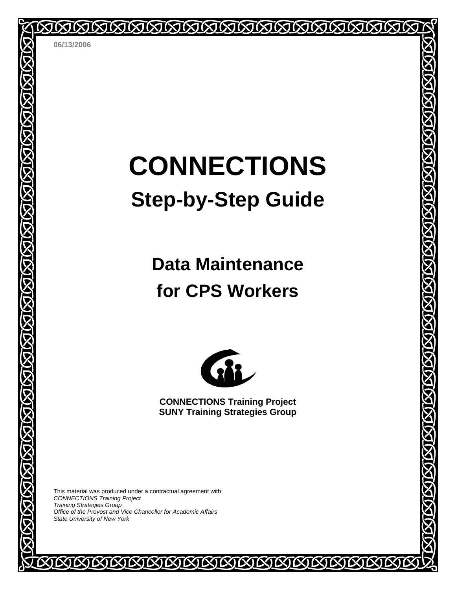**06/13/2006** 

# **CONNECTIONS Step-by-Step Guide**

MMMMMMMMMMMMM

# **Data Maintenance for CPS Workers**



**CONNECTIONS Training Project SUNY Training Strategies Group** 

COCOCOCOCOCO

This material was produced under a contractual agreement with: *CONNECTIONS Training Project Training Strategies Group Office of the Provost and Vice Chancellor for Academic Affairs State University of New York* 

IN)

**XININI**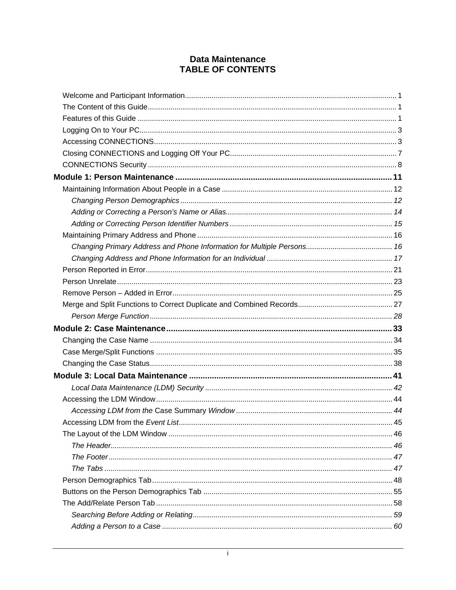## **Data Maintenance TABLE OF CONTENTS**

| Accessing LDM from the Event List | 45 |
|-----------------------------------|----|
|                                   |    |
|                                   |    |
|                                   |    |
|                                   |    |
|                                   |    |
|                                   |    |
|                                   |    |
|                                   |    |
|                                   |    |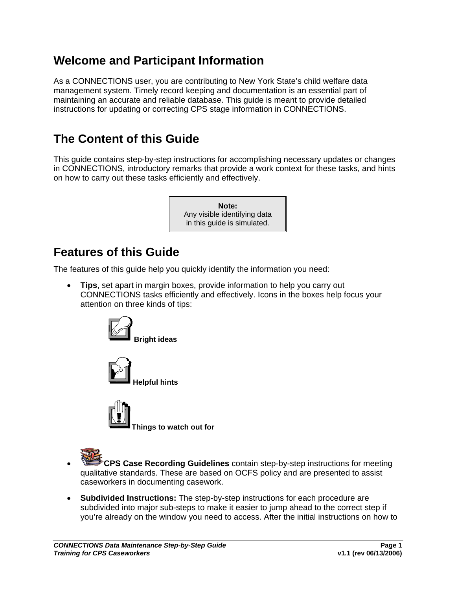# <span id="page-3-1"></span><span id="page-3-0"></span>**Welcome and Participant Information**

As a CONNECTIONS user, you are contributing to New York State's child welfare data management system. Timely record keeping and documentation is an essential part of maintaining an accurate and reliable database. This guide is meant to provide detailed instructions for updating or correcting CPS stage information in CONNECTIONS.

# **The Content of this Guide**

This guide contains step-by-step instructions for accomplishing necessary updates or changes in CONNECTIONS, introductory remarks that provide a work context for these tasks, and hints on how to carry out these tasks efficiently and effectively.



# **Features of this Guide**

The features of this guide help you quickly identify the information you need:

• **Tips**, set apart in margin boxes, provide information to help you carry out CONNECTIONS tasks efficiently and effectively. Icons in the boxes help focus your attention on three kinds of tips:







**Things to watch out for** 

- 
- **CPS Case Recording Guidelines** contain step-by-step instructions for meeting qualitative standards. These are based on OCFS policy and are presented to assist caseworkers in documenting casework.
- **Subdivided Instructions:** The step-by-step instructions for each procedure are subdivided into major sub-steps to make it easier to jump ahead to the correct step if you're already on the window you need to access. After the initial instructions on how to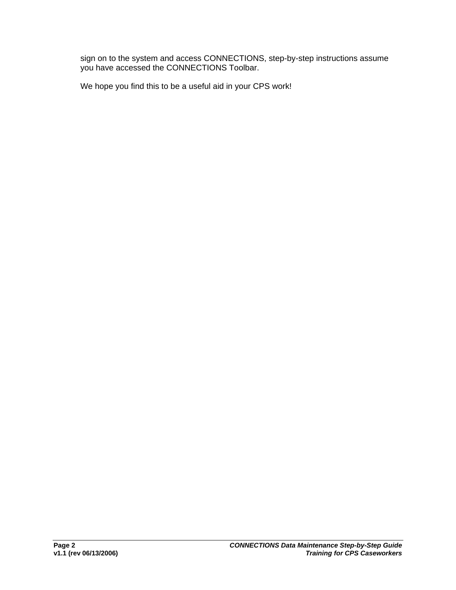sign on to the system and access CONNECTIONS, step-by-step instructions assume you have accessed the CONNECTIONS Toolbar.

We hope you find this to be a useful aid in your CPS work!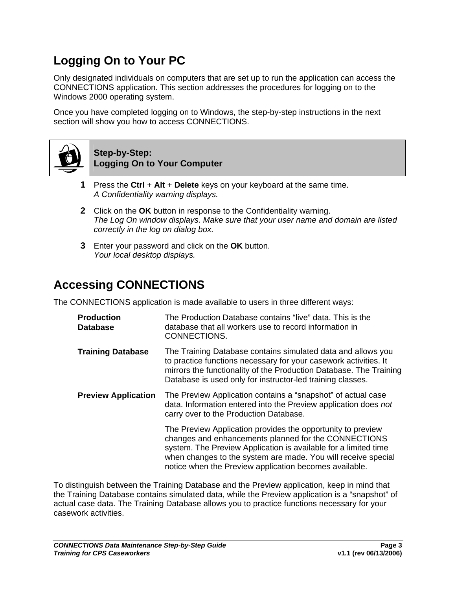# <span id="page-5-1"></span><span id="page-5-0"></span>**Logging On to Your PC**

Only designated individuals on computers that are set up to run the application can access the CONNECTIONS application. This section addresses the procedures for logging on to the Windows 2000 operating system.

Once you have completed logging on to Windows, the step-by-step instructions in the next section will show you how to access CONNECTIONS.



#### **Step-by-Step: Logging On to Your Computer**

- **1** Press the **Ctrl** + **Alt** + **Delete** keys on your keyboard at the same time. *A Confidentiality warning displays.*
- **2** Click on the **OK** button in response to the Confidentiality warning. *The Log On window displays. Make sure that your user name and domain are listed correctly in the log on dialog box.*
- **3** Enter your password and click on the **OK** button. *Your local desktop displays.*

# **Accessing CONNECTIONS**

The CONNECTIONS application is made available to users in three different ways:

| <b>Production</b><br><b>Database</b> | The Production Database contains "live" data. This is the<br>database that all workers use to record information in<br>CONNECTIONS.                                                                                                                                                                               |
|--------------------------------------|-------------------------------------------------------------------------------------------------------------------------------------------------------------------------------------------------------------------------------------------------------------------------------------------------------------------|
| <b>Training Database</b>             | The Training Database contains simulated data and allows you<br>to practice functions necessary for your casework activities. It<br>mirrors the functionality of the Production Database. The Training<br>Database is used only for instructor-led training classes.                                              |
| <b>Preview Application</b>           | The Preview Application contains a "snapshot" of actual case<br>data. Information entered into the Preview application does not<br>carry over to the Production Database.                                                                                                                                         |
|                                      | The Preview Application provides the opportunity to preview<br>changes and enhancements planned for the CONNECTIONS<br>system. The Preview Application is available for a limited time<br>when changes to the system are made. You will receive special<br>notice when the Preview application becomes available. |

To distinguish between the Training Database and the Preview application, keep in mind that the Training Database contains simulated data, while the Preview application is a "snapshot" of actual case data. The Training Database allows you to practice functions necessary for your casework activities.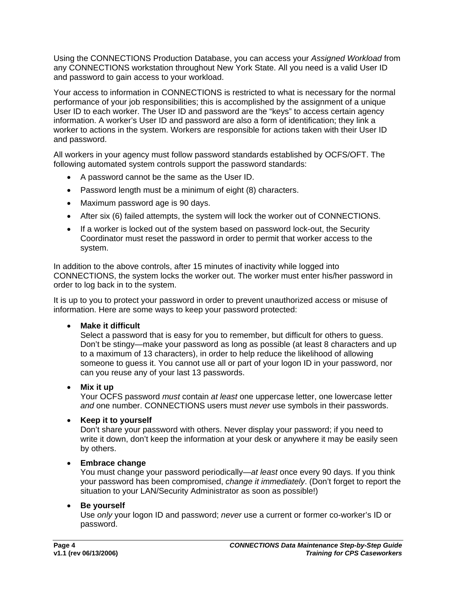Using the CONNECTIONS Production Database, you can access your *Assigned Workload* from any CONNECTIONS workstation throughout New York State. All you need is a valid User ID and password to gain access to your workload.

Your access to information in CONNECTIONS is restricted to what is necessary for the normal performance of your job responsibilities; this is accomplished by the assignment of a unique User ID to each worker. The User ID and password are the "keys" to access certain agency information. A worker's User ID and password are also a form of identification; they link a worker to actions in the system. Workers are responsible for actions taken with their User ID and password.

All workers in your agency must follow password standards established by OCFS/OFT. The following automated system controls support the password standards:

- A password cannot be the same as the User ID.
- Password length must be a minimum of eight (8) characters.
- Maximum password age is 90 days.
- After six (6) failed attempts, the system will lock the worker out of CONNECTIONS.
- If a worker is locked out of the system based on password lock-out, the Security Coordinator must reset the password in order to permit that worker access to the system.

In addition to the above controls, after 15 minutes of inactivity while logged into CONNECTIONS, the system locks the worker out. The worker must enter his/her password in order to log back in to the system.

It is up to you to protect your password in order to prevent unauthorized access or misuse of information. Here are some ways to keep your password protected:

#### • **Make it difficult**

Select a password that is easy for you to remember, but difficult for others to guess. Don't be stingy—make your password as long as possible (at least 8 characters and up to a maximum of 13 characters), in order to help reduce the likelihood of allowing someone to guess it. You cannot use all or part of your logon ID in your password, nor can you reuse any of your last 13 passwords.

## • **Mix it up**

Your OCFS password *must* contain *at least* one uppercase letter, one lowercase letter *and* one number. CONNECTIONS users must *never* use symbols in their passwords.

#### • **Keep it to yourself**

Don't share your password with others. Never display your password; if you need to write it down, don't keep the information at your desk or anywhere it may be easily seen by others.

#### • **Embrace change**

You must change your password periodically—*at least* once every 90 days. If you think your password has been compromised, *change it immediately*. (Don't forget to report the situation to your LAN/Security Administrator as soon as possible!)

#### • **Be yourself**

Use *only* your logon ID and password; *never* use a current or former co-worker's ID or password.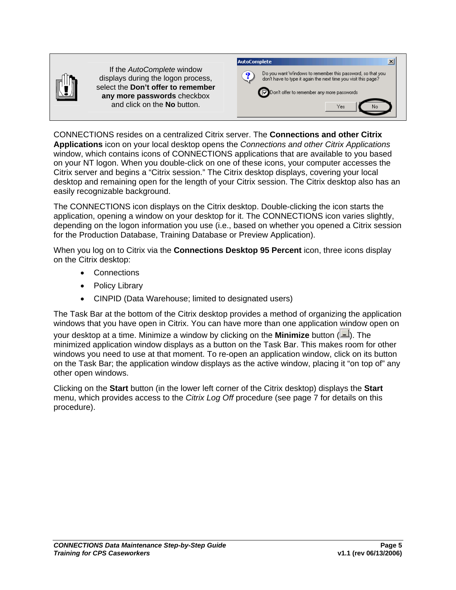

If the *AutoComplete* window displays during the logon process, select the **Don't offer to remember any more passwords** checkbox and click on the **No** button.



CONNECTIONS resides on a centralized Citrix server. The **Connections and other Citrix Applications** icon on your local desktop opens the *Connections and other Citrix Applications* window, which contains icons of CONNECTIONS applications that are available to you based on your NT logon. When you double-click on one of these icons, your computer accesses the Citrix server and begins a "Citrix session." The Citrix desktop displays, covering your local desktop and remaining open for the length of your Citrix session. The Citrix desktop also has an easily recognizable background.

The CONNECTIONS icon displays on the Citrix desktop. Double-clicking the icon starts the application, opening a window on your desktop for it. The CONNECTIONS icon varies slightly, depending on the logon information you use (i.e., based on whether you opened a Citrix session for the Production Database, Training Database or Preview Application).

When you log on to Citrix via the **Connections Desktop 95 Percent** icon, three icons display on the Citrix desktop:

- Connections
- Policy Library
- CINPID (Data Warehouse; limited to designated users)

The Task Bar at the bottom of the Citrix desktop provides a method of organizing the application windows that you have open in Citrix. You can have more than one application window open on your desktop at a time. Minimize a window by clicking on the **Minimize** button ( ). The minimized application window displays as a button on the Task Bar. This makes room for other windows you need to use at that moment. To re-open an application window, click on its button on the Task Bar; the application window displays as the active window, placing it "on top of" any other open windows.

Clicking on the **Start** button (in the lower left corner of the Citrix desktop) displays the **Start**  menu, which provides access to the *Citrix Log Off* procedure (see page [7](#page-9-2) for details on this procedure).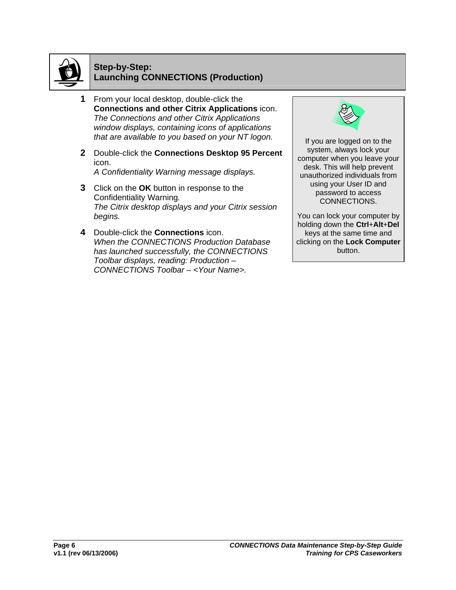

#### **Step-by-Step: Launching CONNECTIONS (Production)**

- **1** From your local desktop, double-click the **Connections and other Citrix Applications** icon. *The Connections and other Citrix Applications window displays, containing icons of applications that are available to you based on your NT logon.* If you are logged on to the
- **2** Double-click the **Connections Desktop 95 Percent** icon. *A Confidentiality Warning message displays.*
- **3** Click on the **OK** button in response to the Confidentiality Warning*. The Citrix desktop displays and your Citrix session begins.*
- **4** Double-click the **Connections** icon. *When the CONNECTIONS Production Database has launched successfully, the CONNECTIONS Toolbar displays, reading: Production – CONNECTIONS Toolbar – <Your Name>.*



system, always lock your computer when you leave your desk. This will help prevent unauthorized individuals from using your User ID and password to access CONNECTIONS.

You can lock your computer by holding down the **Ctrl**+**Alt**+**Del** keys at the same time and clicking on the **Lock Computer** button.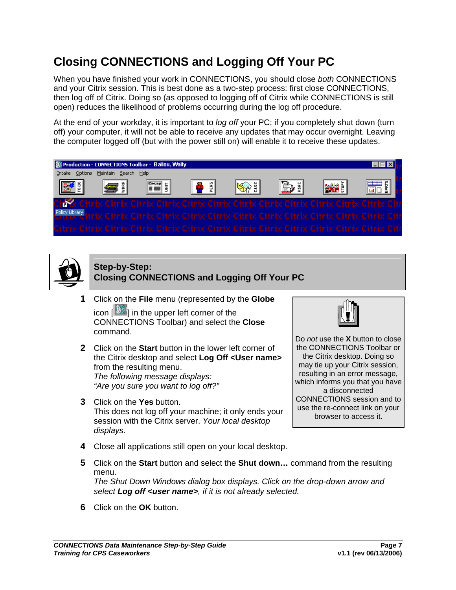# <span id="page-9-2"></span><span id="page-9-1"></span><span id="page-9-0"></span>**Closing CONNECTIONS and Logging Off Your PC**

When you have finished your work in CONNECTIONS, you should close *both* CONNECTIONS and your Citrix session. This is best done as a two-step process: first close CONNECTIONS, then log off of Citrix. Doing so (as opposed to logging off of Citrix while CONNECTIONS is still open) reduces the likelihood of problems occurring during the log off procedure.

At the end of your workday, it is important to *log off* your PC; if you completely shut down (turn off) your computer, it will not be able to receive any updates that may occur overnight. Leaving the computer logged off (but with the power still on) will enable it to receive these updates.





#### **Step-by-Step: Closing CONNECTIONS and Logging Off Your PC**

- **1** Click on the **File** menu (represented by the **Globe** icon [ ] in the upper left corner of the CONNECTIONS Toolbar) and select the **Close**  command.
- **2** Click on the **Start** button in the lower left corner of the Citrix desktop and select **Log Off <User name>** from the resulting menu. *The following message displays: "Are you sure you want to log off?"*
- **3** Click on the **Yes** button. This does not log off your machine; it only ends your session with the Citrix server. *Your local desktop displays.*



Do *not* use the **X** button to close the CONNECTIONS Toolbar or the Citrix desktop. Doing so may tie up your Citrix session, resulting in an error message, which informs you that you have a disconnected CONNECTIONS session and to use the re-connect link on your browser to access it.

- **4** Close all applications still open on your local desktop.
- **5** Click on the **Start** button and select the **Shut down…** command from the resulting menu. *The Shut Down Windows dialog box displays. Click on the drop-down arrow and select Log off <user name>, if it is not already selected.*
- **6** Click on the **OK** button.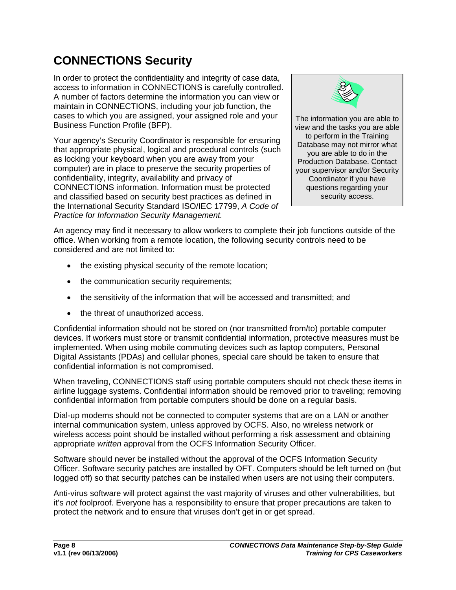# <span id="page-10-1"></span><span id="page-10-0"></span>**CONNECTIONS Security**

In order to protect the confidentiality and integrity of case data, access to information in CONNECTIONS is carefully controlled. A number of factors determine the information you can view or maintain in CONNECTIONS, including your job function, the cases to which you are assigned, your assigned role and your cases to which you are assigned, your assigned role and your The information you are able to<br>Business Function Profile (BFP).

Your agency's Security Coordinator is responsible for ensuring that appropriate physical, logical and procedural controls (such as locking your keyboard when you are away from your computer) are in place to preserve the security properties of confidentiality, integrity, availability and privacy of CONNECTIONS information. Information must be protected and classified based on security best practices as defined in the International Security Standard ISO/IEC 17799, *A Code of Practice for Information Security Management.*



view and the tasks you are able to perform in the Training Database may not mirror what you are able to do in the Production Database. Contact your supervisor and/or Security Coordinator if you have questions regarding your security access.

An agency may find it necessary to allow workers to complete their job functions outside of the office. When working from a remote location, the following security controls need to be considered and are not limited to:

- the existing physical security of the remote location;
- the communication security requirements;
- the sensitivity of the information that will be accessed and transmitted; and
- the threat of unauthorized access.

Confidential information should not be stored on (nor transmitted from/to) portable computer devices. If workers must store or transmit confidential information, protective measures must be implemented. When using mobile commuting devices such as laptop computers, Personal Digital Assistants (PDAs) and cellular phones, special care should be taken to ensure that confidential information is not compromised.

When traveling, CONNECTIONS staff using portable computers should not check these items in airline luggage systems. Confidential information should be removed prior to traveling; removing confidential information from portable computers should be done on a regular basis.

Dial-up modems should not be connected to computer systems that are on a LAN or another internal communication system, unless approved by OCFS. Also, no wireless network or wireless access point should be installed without performing a risk assessment and obtaining appropriate *written* approval from the OCFS Information Security Officer.

Software should never be installed without the approval of the OCFS Information Security Officer. Software security patches are installed by OFT. Computers should be left turned on (but logged off) so that security patches can be installed when users are not using their computers.

Anti-virus software will protect against the vast majority of viruses and other vulnerabilities, but it's *not* foolproof. Everyone has a responsibility to ensure that proper precautions are taken to protect the network and to ensure that viruses don't get in or get spread.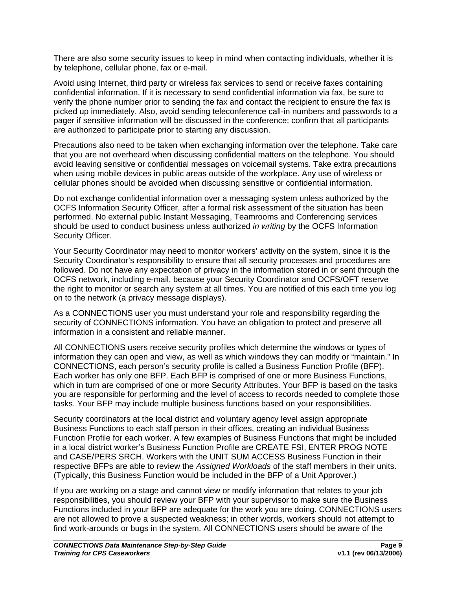There are also some security issues to keep in mind when contacting individuals, whether it is by telephone, cellular phone, fax or e-mail.

Avoid using Internet, third party or wireless fax services to send or receive faxes containing confidential information. If it is necessary to send confidential information via fax, be sure to verify the phone number prior to sending the fax and contact the recipient to ensure the fax is picked up immediately. Also, avoid sending teleconference call-in numbers and passwords to a pager if sensitive information will be discussed in the conference; confirm that all participants are authorized to participate prior to starting any discussion.

Precautions also need to be taken when exchanging information over the telephone. Take care that you are not overheard when discussing confidential matters on the telephone. You should avoid leaving sensitive or confidential messages on voicemail systems. Take extra precautions when using mobile devices in public areas outside of the workplace. Any use of wireless or cellular phones should be avoided when discussing sensitive or confidential information.

Do not exchange confidential information over a messaging system unless authorized by the OCFS Information Security Officer, after a formal risk assessment of the situation has been performed. No external public Instant Messaging, Teamrooms and Conferencing services should be used to conduct business unless authorized *in writing* by the OCFS Information Security Officer.

Your Security Coordinator may need to monitor workers' activity on the system, since it is the Security Coordinator's responsibility to ensure that all security processes and procedures are followed. Do not have any expectation of privacy in the information stored in or sent through the OCFS network, including e-mail, because your Security Coordinator and OCFS/OFT reserve the right to monitor or search any system at all times. You are notified of this each time you log on to the network (a privacy message displays).

As a CONNECTIONS user you must understand your role and responsibility regarding the security of CONNECTIONS information. You have an obligation to protect and preserve all information in a consistent and reliable manner.

All CONNECTIONS users receive security profiles which determine the windows or types of information they can open and view, as well as which windows they can modify or "maintain." In CONNECTIONS, each person's security profile is called a Business Function Profile (BFP). Each worker has only one BFP. Each BFP is comprised of one or more Business Functions, which in turn are comprised of one or more Security Attributes. Your BFP is based on the tasks you are responsible for performing and the level of access to records needed to complete those tasks. Your BFP may include multiple business functions based on your responsibilities.

Security coordinators at the local district and voluntary agency level assign appropriate Business Functions to each staff person in their offices, creating an individual Business Function Profile for each worker. A few examples of Business Functions that might be included in a local district worker's Business Function Profile are CREATE FSI, ENTER PROG NOTE and CASE/PERS SRCH. Workers with the UNIT SUM ACCESS Business Function in their respective BFPs are able to review the *Assigned Workloads* of the staff members in their units. (Typically, this Business Function would be included in the BFP of a Unit Approver.)

If you are working on a stage and cannot view or modify information that relates to your job responsibilities, you should review your BFP with your supervisor to make sure the Business Functions included in your BFP are adequate for the work you are doing. CONNECTIONS users are not allowed to prove a suspected weakness; in other words, workers should not attempt to find work-arounds or bugs in the system. All CONNECTIONS users should be aware of the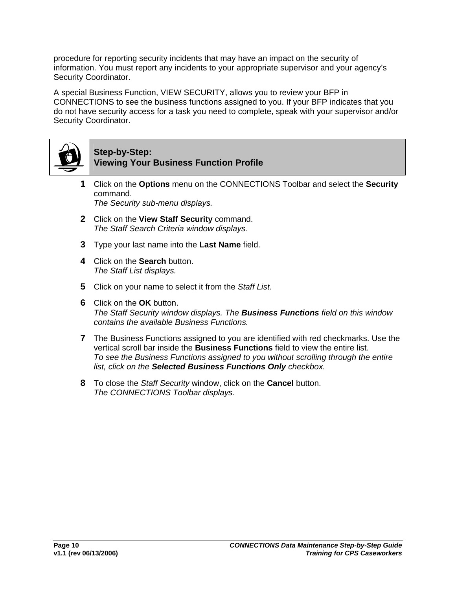procedure for reporting security incidents that may have an impact on the security of information. You must report any incidents to your appropriate supervisor and your agency's Security Coordinator.

A special Business Function, VIEW SECURITY, allows you to review your BFP in CONNECTIONS to see the business functions assigned to you. If your BFP indicates that you do not have security access for a task you need to complete, speak with your supervisor and/or Security Coordinator.



#### **Step-by-Step: Viewing Your Business Function Profile**

- **1** Click on the **Options** menu on the CONNECTIONS Toolbar and select the **Security** command. *The Security sub-menu displays.*
- **2** Click on the **View Staff Security** command. *The Staff Search Criteria window displays.*
- **3** Type your last name into the **Last Name** field.
- **4** Click on the **Search** button. *The Staff List displays.*
- **5** Click on your name to select it from the *Staff List*.
- **6** Click on the **OK** button. *The Staff Security window displays. The Business Functions field on this window contains the available Business Functions.*
- **7** The Business Functions assigned to you are identified with red checkmarks. Use the vertical scroll bar inside the **Business Functions** field to view the entire list. *To see the Business Functions assigned to you without scrolling through the entire list, click on the Selected Business Functions Only checkbox.*
- **8** To close the *Staff Security* window, click on the **Cancel** button. *The CONNECTIONS Toolbar displays.*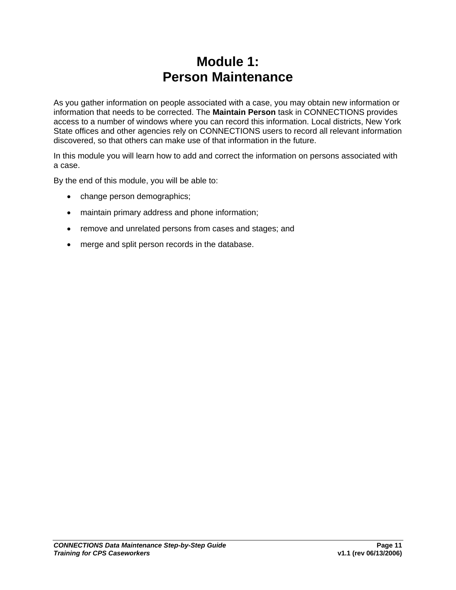# **Module 1: Person Maintenance**

<span id="page-13-0"></span>As you gather information on people associated with a case, you may obtain new information or information that needs to be corrected. The **Maintain Person** task in CONNECTIONS provides access to a number of windows where you can record this information. Local districts, New York State offices and other agencies rely on CONNECTIONS users to record all relevant information discovered, so that others can make use of that information in the future.

In this module you will learn how to add and correct the information on persons associated with a case.

By the end of this module, you will be able to:

- change person demographics;
- maintain primary address and phone information;
- remove and unrelated persons from cases and stages; and
- merge and split person records in the database.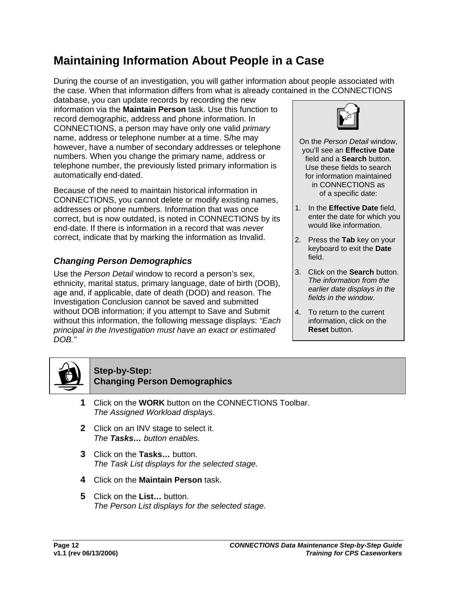# <span id="page-14-1"></span><span id="page-14-0"></span>**Maintaining Information About People in a Case**

During the course of an investigation, you will gather information about people associated with the case. When that information differs from what is already contained in the CONNECTIONS

database, you can update records by recording the new information via the **Maintain Person** task. Use this function to record demographic, address and phone information. In CONNECTIONS, a person may have only one valid *primary* name, address or telephone number at a time. S/he may however, have a number of secondary addresses or telephone numbers. When you change the primary name, address or telephone number, the previously listed primary information is automatically end-dated.

Because of the need to maintain historical information in CONNECTIONS, you cannot delete or modify existing names, addresses or phone numbers. Information that was once correct, but is now outdated, is noted in CONNECTIONS by its end-date. If there is information in a record that was *never* correct, indicate that by marking the information as Invalid.

## *Changing Person Demographics*

Use the *Person Detail* window to record a person's sex, ethnicity, marital status, primary language, date of birth (DOB), age and, if applicable, date of death (DOD) and reason. The Investigation Conclusion cannot be saved and submitted without DOB information; if you attempt to Save and Submit without this information, the following message displays: *"Each principal in the Investigation must have an exact or estimated DOB."*



- On the *Person Detail* window, you'll see an **Effective Date** field and a **Search** button. Use these fields to search for information maintained in CONNECTIONS as of a specific date:
- 1. In the **Effective Date** field, enter the date for which you would like information.
- 2. Press the **Tab** key on your keyboard to exit the **Date** field.
- 3. Click on the **Search** button. *The information from the earlier date displays in the fields in the window*.
- 4. To return to the current information, click on the **Reset** button.

<span id="page-14-2"></span>

#### **Step-by-Step: Changing Person Demographics**

- **1** Click on the **WORK** button on the CONNECTIONS Toolbar. *The Assigned Workload displays*.
- **2** Click on an INV stage to select it. *The Tasks… button enables.*
- **3** Click on the **Tasks…** button. *The Task List displays for the selected stage.*
- **4** Click on the **Maintain Person** task.
- **5** Click on the **List…** button. *The Person List displays for the selected stage.*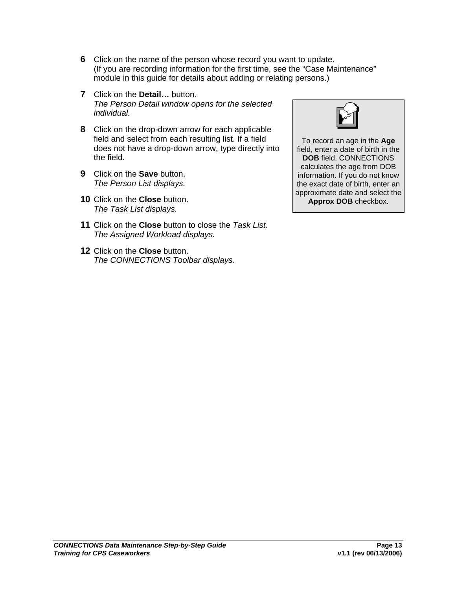- **6** Click on the name of the person whose record you want to update. (If you are recording information for the first time, see the "Case Maintenance" module in this guide for details about adding or relating persons.)
- **7** Click on the **Detail…** button. *The Person Detail window opens for the selected individual.*
- **8** Click on the drop-down arrow for each applicable field and select from each resulting list. If a field does not have a drop-down arrow, type directly into the field.
- **9** Click on the **Save** button. *The Person List displays.*
- **10** Click on the **Close** button. *The Task List displays.*
- **11** Click on the **Close** button to close the *Task List*. *The Assigned Workload displays.*
- **12** Click on the **Close** button. *The CONNECTIONS Toolbar displays.*



To record an age in the **Age** field, enter a date of birth in the **DOB** field. CONNECTIONS calculates the age from DOB information. If you do not know the exact date of birth, enter an approximate date and select the **Approx DOB** checkbox.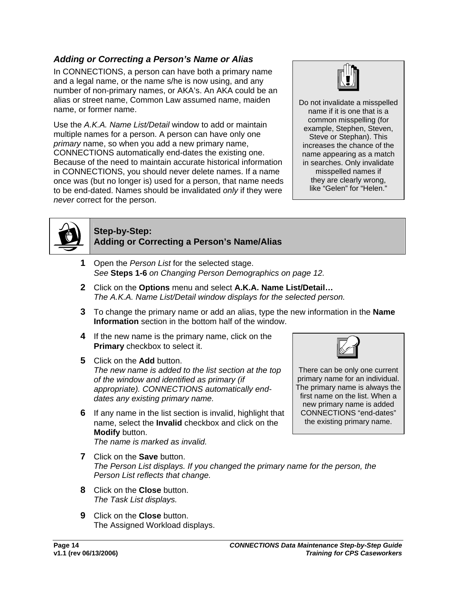## <span id="page-16-0"></span>*Adding or Correcting a Person's Name or Alias*

In CONNECTIONS, a person can have both a primary name and a legal name, or the name s/he is now using, and any number of non-primary names, or AKA's. An AKA could be an alias or street name, Common Law assumed name, maiden name, or former name.

Use the *A.K.A. Name List/Detail* window to add or maintain multiple names for a person. A person can have only one *primary* name, so when you add a new primary name, CONNECTIONS automatically end-dates the existing one. Because of the need to maintain accurate historical information in CONNECTIONS, you should never delete names. If a name once was (but no longer is) used for a person, that name needs to be end-dated. Names should be invalidated *only* if they were *never* correct for the person.



Do not invalidate a misspelled name if it is one that is a common misspelling (for example, Stephen, Steven, Steve or Stephan). This increases the chance of the name appearing as a match in searches. Only invalidate misspelled names if they are clearly wrong, like "Gelen" for "Helen."



## **Step-by-Step: Adding or Correcting a Person's Name/Alias**

- **1** Open the *Person List* for the selected stage. *See* **Steps 1-6** *on Changing Person Demographics on page [12.](#page-14-2)*
- **2** Click on the **Options** menu and select **A.K.A. Name List/Detail…** *The A.K.A. Name List/Detail window displays for the selected person.*
- **3** To change the primary name or add an alias, type the new information in the **Name Information** section in the bottom half of the window.
- **4** If the new name is the primary name, click on the **Primary** checkbox to select it.
- **5** Click on the **Add** button. *The new name is added to the list section at the top of the window and identified as primary (if appropriate). CONNECTIONS automatically enddates any existing primary name.*
- **6** If any name in the list section is invalid, highlight that name, select the **Invalid** checkbox and click on the **Modify** button. *The name is marked as invalid.*



There can be only one current primary name for an individual. The primary name is always the first name on the list. When a new primary name is added CONNECTIONS "end-dates" the existing primary name.

- **7** Click on the **Save** button. *The Person List displays. If you changed the primary name for the person, the Person List reflects that change.*
- **8** Click on the **Close** button. *The Task List displays.*
- **9** Click on the **Close** button. The Assigned Workload displays.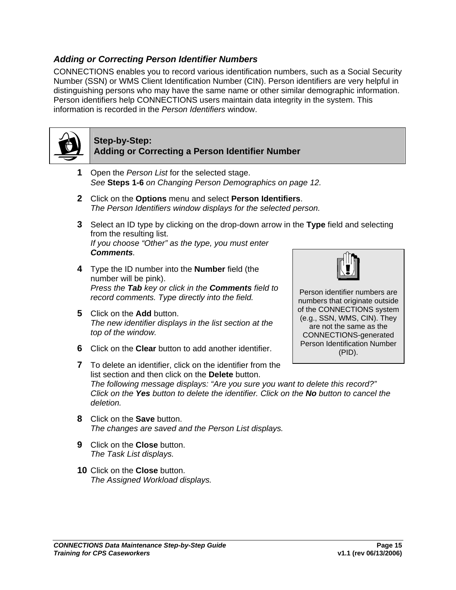#### <span id="page-17-1"></span><span id="page-17-0"></span>*Adding or Correcting Person Identifier Numbers*

CONNECTIONS enables you to record various identification numbers, such as a Social Security Number (SSN) or WMS Client Identification Number (CIN). Person identifiers are very helpful in distinguishing persons who may have the same name or other similar demographic information. Person identifiers help CONNECTIONS users maintain data integrity in the system. This information is recorded in the *Person Identifiers* window.



- **Step-by-Step: Adding or Correcting a Person Identifier Number**
- **1** Open the *Person List* for the selected stage. *See* **Steps 1-6** *on Changing Person Demographics on page [12.](#page-14-2)*
- **2** Click on the **Options** menu and select **Person Identifiers**. *The Person Identifiers window displays for the selected person.*
- **3** Select an ID type by clicking on the drop-down arrow in the **Type** field and selecting from the resulting list. *If you choose "Other" as the type, you must enter Comments.*
- **4** Type the ID number into the **Number** field (the number will be pink). *Press the Tab key or click in the Comments field to record comments. Type directly into the field.*
- **5** Click on the **Add** button. *The new identifier displays in the list section at the top of the window.*
- **6** Click on the **Clear** button to add another identifier.



Person identifier numbers are numbers that originate outside of the CONNECTIONS system (e.g., SSN, WMS, CIN). They are not the same as the CONNECTIONS-generated Person Identification Number (PID).

- **7** To delete an identifier, click on the identifier from the list section and then click on the **Delete** button. *The following message displays: "Are you sure you want to delete this record?" Click on the Yes button to delete the identifier. Click on the No button to cancel the deletion.*
- **8** Click on the **Save** button. *The changes are saved and the Person List displays.*
- **9** Click on the **Close** button. *The Task List displays.*
- **10** Click on the **Close** button. *The Assigned Workload displays.*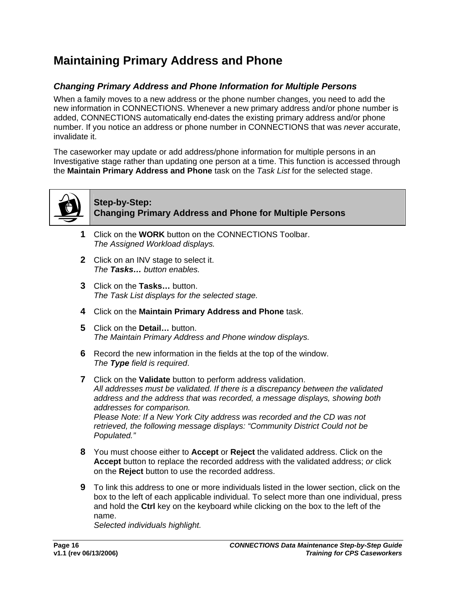# <span id="page-18-1"></span><span id="page-18-0"></span>**Maintaining Primary Address and Phone**

## *Changing Primary Address and Phone Information for Multiple Persons*

When a family moves to a new address or the phone number changes, you need to add the new information in CONNECTIONS. Whenever a new primary address and/or phone number is added, CONNECTIONS automatically end-dates the existing primary address and/or phone number. If you notice an address or phone number in CONNECTIONS that was *never* accurate, invalidate it.

The caseworker may update or add address/phone information for multiple persons in an Investigative stage rather than updating one person at a time. This function is accessed through the **Maintain Primary Address and Phone** task on the *Task List* for the selected stage.



## **Step-by-Step: Changing Primary Address and Phone for Multiple Persons**

- **1** Click on the **WORK** button on the CONNECTIONS Toolbar. *The Assigned Workload displays.*
- **2** Click on an INV stage to select it. *The Tasks… button enables.*
- **3** Click on the **Tasks…** button. *The Task List displays for the selected stage.*
- **4** Click on the **Maintain Primary Address and Phone** task.
- **5** Click on the **Detail…** button. *The Maintain Primary Address and Phone window displays.*
- **6** Record the new information in the fields at the top of the window. *The Type field is required*.
- **7** Click on the **Validate** button to perform address validation. *All addresses must be validated. If there is a discrepancy between the validated address and the address that was recorded, a message displays, showing both addresses for comparison. Please Note: If a New York City address was recorded and the CD was not retrieved, the following message displays: "Community District Could not be Populated."*
- **8** You must choose either to **Accept** or **Reject** the validated address. Click on the **Accept** button to replace the recorded address with the validated address; *or* click on the **Reject** button to use the recorded address.
- **9** To link this address to one or more individuals listed in the lower section, click on the box to the left of each applicable individual. To select more than one individual, press and hold the **Ctrl** key on the keyboard while clicking on the box to the left of the name.

*Selected individuals highlight.*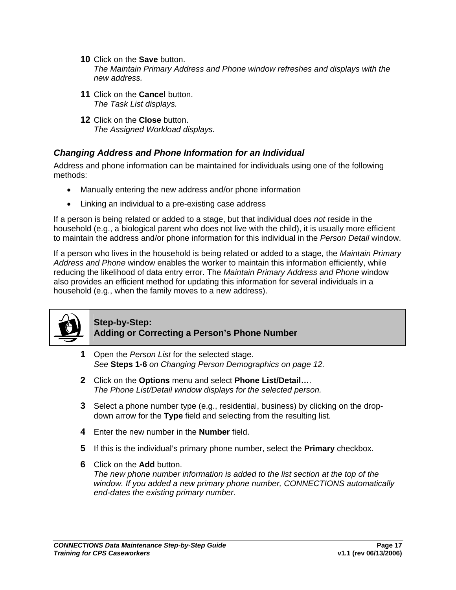- <span id="page-19-1"></span><span id="page-19-0"></span>**10** Click on the **Save** button. *The Maintain Primary Address and Phone window refreshes and displays with the new address.*
- **11** Click on the **Cancel** button. *The Task List displays.*
- **12** Click on the **Close** button. *The Assigned Workload displays.*

## *Changing Address and Phone Information for an Individual*

Address and phone information can be maintained for individuals using one of the following methods:

- Manually entering the new address and/or phone information
- Linking an individual to a pre-existing case address

If a person is being related or added to a stage, but that individual does *not* reside in the household (e.g., a biological parent who does not live with the child), it is usually more efficient to maintain the address and/or phone information for this individual in the *Person Detail* window.

If a person who lives in the household is being related or added to a stage, the *Maintain Primary Address and Phone* window enables the worker to maintain this information efficiently, while reducing the likelihood of data entry error. The *Maintain Primary Address and Phone* window also provides an efficient method for updating this information for several individuals in a household (e.g., when the family moves to a new address).



## **Step-by-Step: Adding or Correcting a Person's Phone Number**

- **1** Open the *Person List* for the selected stage. *See* **Steps 1-6** *on Changing Person Demographics on page [12.](#page-14-2)*
- **2** Click on the **Options** menu and select **Phone List/Detail…**. *The Phone List/Detail window displays for the selected person.*
- **3** Select a phone number type (e.g., residential, business) by clicking on the dropdown arrow for the **Type** field and selecting from the resulting list.
- **4** Enter the new number in the **Number** field.
- **5** If this is the individual's primary phone number, select the **Primary** checkbox.
- **6** Click on the **Add** button. *The new phone number information is added to the list section at the top of the window. If you added a new primary phone number, CONNECTIONS automatically end-dates the existing primary number.*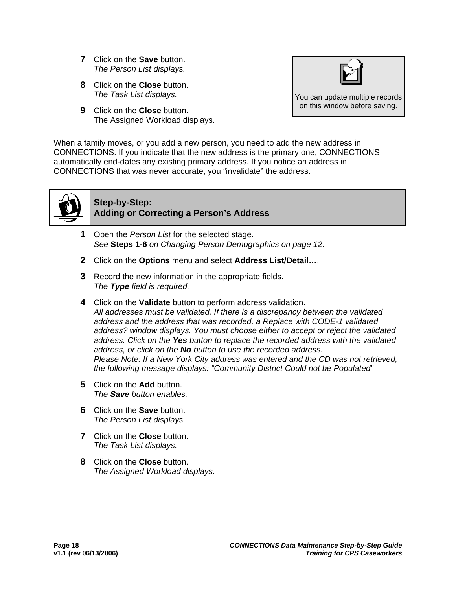- **7** Click on the **Save** button. *The Person List displays.*
- **8** Click on the **Close** button. *The Task List displays.*
- **9** Click on the **Close** button. The Assigned Workload displays.



You can update multiple records on this window before saving.

When a family moves, or you add a new person, you need to add the new address in CONNECTIONS. If you indicate that the new address is the primary one, CONNECTIONS automatically end-dates any existing primary address. If you notice an address in CONNECTIONS that was never accurate, you "invalidate" the address.



## **Step-by-Step: Adding or Correcting a Person's Address**

- **1** Open the *Person List* for the selected stage. *See* **Steps 1-6** *on Changing Person Demographics on page [12.](#page-14-2)*
- **2** Click on the **Options** menu and select **Address List/Detail…**.
- **3** Record the new information in the appropriate fields. *The Type field is required.*
- **4** Click on the **Validate** button to perform address validation. *All addresses must be validated. If there is a discrepancy between the validated address and the address that was recorded, a Replace with CODE-1 validated address? window displays. You must choose either to accept or reject the validated address. Click on the Yes button to replace the recorded address with the validated address, or click on the No button to use the recorded address. Please Note: If a New York City address was entered and the CD was not retrieved, the following message displays: "Community District Could not be Populated"*
- **5** Click on the **Add** button. *The Save button enables.*
- **6** Click on the **Save** button. *The Person List displays.*
- **7** Click on the **Close** button. *The Task List displays.*
- **8** Click on the **Close** button. *The Assigned Workload displays.*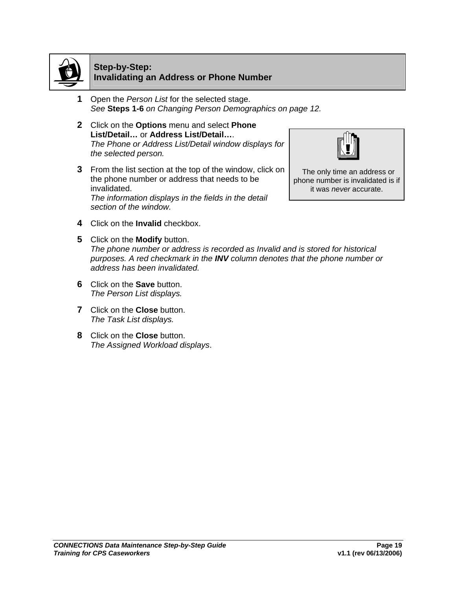

#### **Step-by-Step: Invalidating an Address or Phone Number**

- **1** Open the *Person List* for the selected stage. *See* **Steps 1-6** *on Changing Person Demographics on page [12.](#page-14-2)*
- **2** Click on the **Options** menu and select **Phone List/Detail…** or **Address List/Detail…**. *The Phone or Address List/Detail window displays for the selected person.*
- **3** From the list section at the top of the window, click on the phone number or address that needs to be invalidated. *The information displays in the fields in the detail section of the window.*



The only time an address or phone number is invalidated is if it was *never* accurate.

- **4** Click on the **Invalid** checkbox.
- **5** Click on the **Modify** button. *The phone number or address is recorded as Invalid and is stored for historical purposes. A red checkmark in the INV column denotes that the phone number or address has been invalidated.*
- **6** Click on the **Save** button. *The Person List displays.*
- **7** Click on the **Close** button. *The Task List displays.*
- **8** Click on the **Close** button. *The Assigned Workload displays*.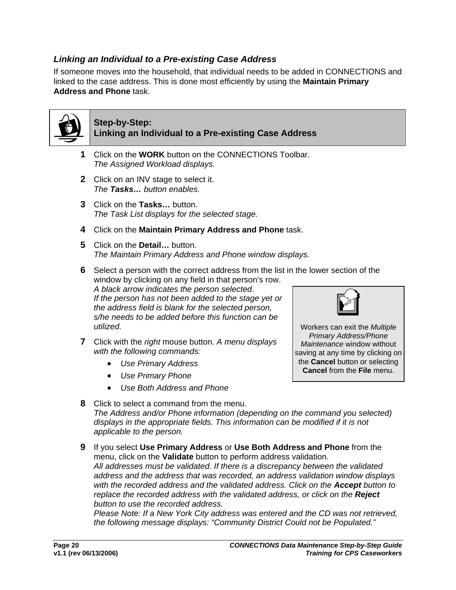## *Linking an Individual to a Pre-existing Case Address*

If someone moves into the household, that individual needs to be added in CONNECTIONS and linked to the case address. This is done most efficiently by using the **Maintain Primary Address and Phone** task.



## **Step-by-Step: Linking an Individual to a Pre-existing Case Address**

- **1** Click on the **WORK** button on the CONNECTIONS Toolbar. *The Assigned Workload displays.*
- **2** Click on an INV stage to select it. *The Tasks… button enables.*
- **3** Click on the **Tasks…** button. *The Task List displays for the selected stage.*
- **4** Click on the **Maintain Primary Address and Phone** task.
- **5** Click on the **Detail…** button. *The Maintain Primary Address and Phone window displays.*
- **6** Select a person with the correct address from the list in the lower section of the window by clicking on any field in that person's row. *A black arrow indicates the person selected*. *If the person has not been added to the stage yet or the address field is blank for the selected person, s/he needs to be added before this function can be utilized.* Workers can exit the *Multiple*
- **7** Click with the *right* mouse button. *A menu displays with the following commands:* 
	- *Use Primary Address*
	- *Use Primary Phone*
	- *Use Both Address and Phone*
- **8** Click to select a command from the menu. *The Address and/or Phone information (depending on the command you selected) displays in the appropriate fields. This information can be modified if it is not applicable to the person.*
- **9** If you select **Use Primary Address** or **Use Both Address and Phone** from the menu, click on the **Validate** button to perform address validation. *All addresses must be validated. If there is a discrepancy between the validated address and the address that was recorded, an address validation window displays with the recorded address and the validated address. Click on the Accept button to replace the recorded address with the validated address, or click on the Reject button to use the recorded address.*

*Please Note: If a New York City address was entered and the CD was not retrieved, the following message displays: "Community District Could not be Populated."* 

*Primary Address/Phone Maintenance* window without saving at any time by clicking on the **Cancel** button or selecting **Cancel** from the **File** menu.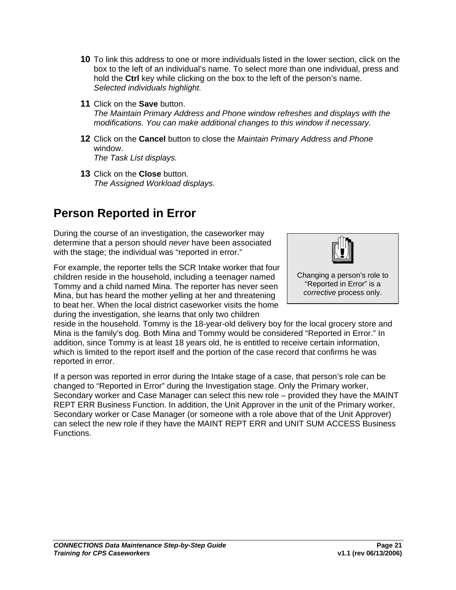- <span id="page-23-1"></span><span id="page-23-0"></span>**10** To link this address to one or more individuals listed in the lower section, click on the box to the left of an individual's name. To select more than one individual, press and hold the **Ctrl** key while clicking on the box to the left of the person's name. *Selected individuals highlight.*
- **11** Click on the **Save** button. *The Maintain Primary Address and Phone window refreshes and displays with the modifications. You can make additional changes to this window if necessary.*
- **12** Click on the **Cancel** button to close the *Maintain Primary Address and Phone* window. *The Task List displays.*
- **13** Click on the **Close** button. *The Assigned Workload displays.*

# **Person Reported in Error**

During the course of an investigation, the caseworker may determine that a person should *never* have been associated with the stage; the individual was "reported in error."

For example, the reporter tells the SCR Intake worker that four children reside in the household, including a teenager named Tommy and a child named Mina. The reporter has never seen Mina, but has heard the mother yelling at her and threatening to beat her. When the local district caseworker visits the home during the investigation, she learns that only two children

Changing a person's role to "Reported in Error" is a *corrective* process only.

reside in the household. Tommy is the 18-year-old delivery boy for the local grocery store and Mina is the family's dog. Both Mina and Tommy would be considered "Reported in Error." In addition, since Tommy is at least 18 years old, he is entitled to receive certain information, which is limited to the report itself and the portion of the case record that confirms he was reported in error.

If a person was reported in error during the Intake stage of a case, that person's role can be changed to "Reported in Error" during the Investigation stage. Only the Primary worker, Secondary worker and Case Manager can select this new role – provided they have the MAINT REPT ERR Business Function. In addition, the Unit Approver in the unit of the Primary worker, Secondary worker or Case Manager (or someone with a role above that of the Unit Approver) can select the new role if they have the MAINT REPT ERR and UNIT SUM ACCESS Business Functions.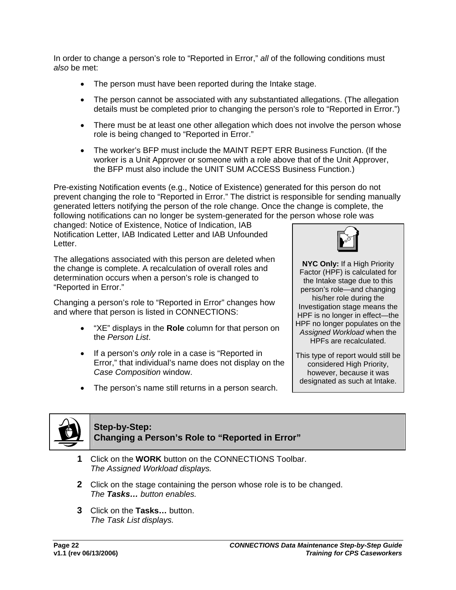In order to change a person's role to "Reported in Error," *all* of the following conditions must *also* be met:

- The person must have been reported during the Intake stage.
- The person cannot be associated with any substantiated allegations. (The allegation details must be completed prior to changing the person's role to "Reported in Error.")
- There must be at least one other allegation which does not involve the person whose role is being changed to "Reported in Error."
- The worker's BFP must include the MAINT REPT ERR Business Function. (If the worker is a Unit Approver or someone with a role above that of the Unit Approver, the BFP must also include the UNIT SUM ACCESS Business Function.)

Pre-existing Notification events (e.g., Notice of Existence) generated for this person do not prevent changing the role to "Reported in Error." The district is responsible for sending manually generated letters notifying the person of the role change. Once the change is complete, the following notifications can no longer be system-generated for the person whose role was

changed: Notice of Existence, Notice of Indication, IAB Notification Letter, IAB Indicated Letter and IAB Unfounded Letter.

The allegations associated with this person are deleted when the change is complete. A recalculation of overall roles and determination occurs when a person's role is changed to "Reported in Error."

Changing a person's role to "Reported in Error" changes how and where that person is listed in CONNECTIONS:

- "XE" displays in the **Role** column for that person on the *Person List*.
- If a person's *only* role in a case is "Reported in Error," that individual's name does not display on the *Case Composition* window.
- The person's name still returns in a person search.



**NYC Only:** If a High Priority Factor (HPF) is calculated for the Intake stage due to this person's role—and changing his/her role during the Investigation stage means the HPF is no longer in effect—the HPF no longer populates on the *Assigned Workload* when the HPFs are recalculated.

This type of report would still be considered High Priority, however, because it was designated as such at Intake.



## **Step-by-Step: Changing a Person's Role to "Reported in Error"**

- **1** Click on the **WORK** button on the CONNECTIONS Toolbar. *The Assigned Workload displays.*
- **2** Click on the stage containing the person whose role is to be changed. *The Tasks… button enables.*
- **3** Click on the **Tasks…** button. *The Task List displays.*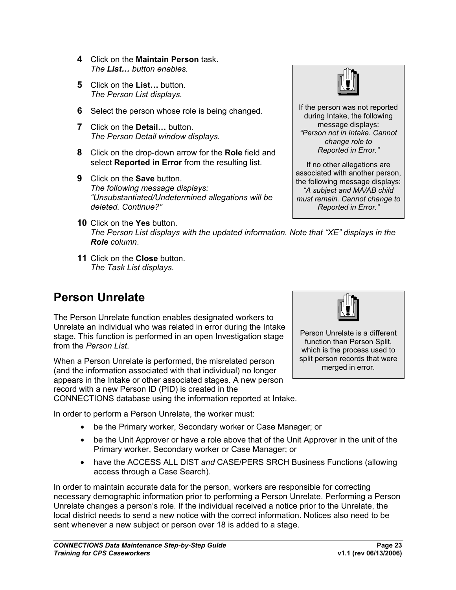- <span id="page-25-1"></span><span id="page-25-0"></span>**4** Click on the **Maintain Person** task. *The List… button enables.*
- **5** Click on the **List…** button. *The Person List displays.*
- **6** Select the person whose role is being changed.
- **7** Click on the **Detail…** button. *The Person Detail window displays.*
- **8** Click on the drop-down arrow for the **Role** field and select **Reported in Error** from the resulting list.
- **9** Click on the **Save** button. *The following message displays: "Unsubstantiated/Undetermined allegations will be deleted. Continue?"*
- **10** Click on the **Yes** button. *The Person List displays with the updated information. Note that "XE" displays in the Role column*.
- **11** Click on the **Close** button. *The Task List displays.*

# **Person Unrelate**

The Person Unrelate function enables designated workers to Unrelate an individual who was related in error during the Intake stage. This function is performed in an open Investigation stage from the *Person List*.

When a Person Unrelate is performed, the misrelated person (and the information associated with that individual) no longer appears in the Intake or other associated stages. A new person record with a new Person ID (PID) is created in the

CONNECTIONS database using the information reported at Intake.

In order to perform a Person Unrelate, the worker must:

- be the Primary worker, Secondary worker or Case Manager; or
- be the Unit Approver or have a role above that of the Unit Approver in the unit of the Primary worker, Secondary worker or Case Manager; or
- have the ACCESS ALL DIST *and* CASE/PERS SRCH Business Functions (allowing access through a Case Search).

In order to maintain accurate data for the person, workers are responsible for correcting necessary demographic information prior to performing a Person Unrelate. Performing a Person Unrelate changes a person's role. If the individual received a notice prior to the Unrelate, the local district needs to send a new notice with the correct information. Notices also need to be sent whenever a new subject or person over 18 is added to a stage.



If the person was not reported during Intake, the following message displays: *"Person not in Intake. Cannot change role to Reported in Error."*

If no other allegations are associated with another person, the following message displays: *"A subject and MA/AB child must remain. Cannot change to Reported in Error."*



Person Unrelate is a different function than Person Split, which is the process used to split person records that were merged in error.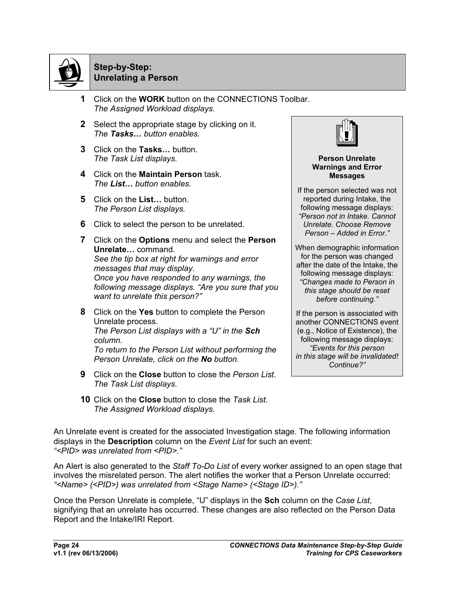

## **Step-by-Step: Unrelating a Person**

- **1** Click on the **WORK** button on the CONNECTIONS Toolbar. *The Assigned Workload displays.*
- **2** Select the appropriate stage by clicking on it. *The Tasks… button enables.*
- **3** Click on the **Tasks…** button. *The Task List displays.*
- **4** Click on the **Maintain Person** task. *The List… button enables.*
- **5** Click on the **List…** button. *The Person List displays.*
- **6** Click to select the person to be unrelated.
- **7** Click on the **Options** menu and select the **Person Unrelate…** command. *See the tip box at right for warnings and error messages that may display. Once you have responded to any warnings, the following message displays. "Are you sure that you want to unrelate this person?"*
- **8** Click on the **Yes** button to complete the Person Unrelate process. *The Person List displays with a "U" in the Sch column. To return to the Person List without performing the Person Unrelate, click on the No button.*
- **9** Click on the **Close** button to close the *Person List*. *The Task List displays.*
- **10** Click on the **Close** button to close the *Task List*. *The Assigned Workload displays.*



**Person Unrelate Warnings and Error Messages** 

If the person selected was not reported during Intake, the following message displays: *"Person not in Intake. Cannot Unrelate. Choose Remove Person – Added in Error."* 

When demographic information for the person was changed after the date of the Intake, the following message displays: *"Changes made to Person in this stage should be reset before continuing."*

If the person is associated with another CONNECTIONS event (e.g., Notice of Existence), the following message displays: *"Events for this person in this stage will be invalidated! Continue?"* 

An Unrelate event is created for the associated Investigation stage. The following information displays in the **Description** column on the *Event List* for such an event: *"<PID> was unrelated from <PID>."*

An Alert is also generated to the *Staff To-Do List* of every worker assigned to an open stage that involves the misrelated person. The alert notifies the worker that a Person Unrelate occurred: *"<Name> (<PID>) was unrelated from <Stage Name> (<Stage ID>)."* 

Once the Person Unrelate is complete, "U" displays in the **Sch** column on the *Case List*, signifying that an unrelate has occurred. These changes are also reflected on the Person Data Report and the Intake/IRI Report.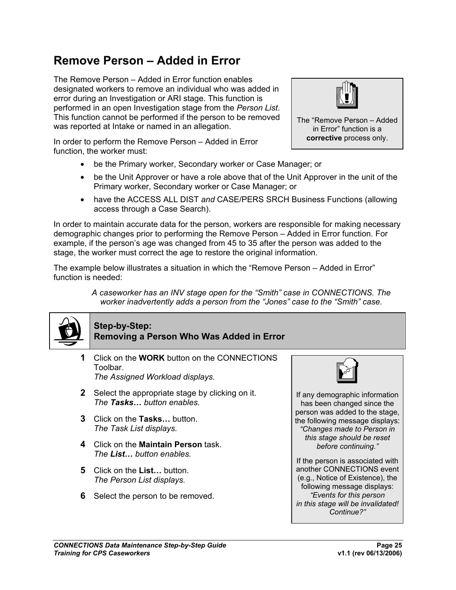# <span id="page-27-1"></span><span id="page-27-0"></span>**Remove Person – Added in Error**

The Remove Person – Added in Error function enables designated workers to remove an individual who was added in error during an Investigation or ARI stage. This function is performed in an open Investigation stage from the *Person List*. This function cannot be performed if the person to be removed was reported at Intake or named in an allegation.

In order to perform the Remove Person – Added in Error function, the worker must:



- be the Unit Approver or have a role above that of the Unit Approver in the unit of the Primary worker, Secondary worker or Case Manager; or
- have the ACCESS ALL DIST *and* CASE/PERS SRCH Business Functions (allowing access through a Case Search).

In order to maintain accurate data for the person, workers are responsible for making necessary demographic changes prior to performing the Remove Person – Added in Error function. For example, if the person's age was changed from 45 to 35 after the person was added to the stage, the worker must correct the age to restore the original information.

The example below illustrates a situation in which the "Remove Person – Added in Error" function is needed:

> *A caseworker has an INV stage open for the "Smith" case in CONNECTIONS. The worker inadvertently adds a person from the "Jones" case to the "Smith" case.*



# **Step-by-Step: Removing a Person Who Was Added in Error**

- **1** Click on the **WORK** button on the CONNECTIONS Toolbar. *The Assigned Workload displays.*
- **2** Select the appropriate stage by clicking on it. *The Tasks… button enables.*
- **3** Click on the **Tasks…** button. *The Task List displays.*
- **4** Click on the **Maintain Person** task. *The List… button enables.*
- **5** Click on the **List…** button. *The Person List displays.*
- **6** Select the person to be removed.



If any demographic information has been changed since the person was added to the stage, the following message displays: *"Changes made to Person in this stage should be reset before continuing."* 

If the person is associated with another CONNECTIONS event (e.g., Notice of Existence), the following message displays: *"Events for this person in this stage will be invalidated! Continue?"* 



The "Remove Person – Added in Error" function is a **corrective** process only.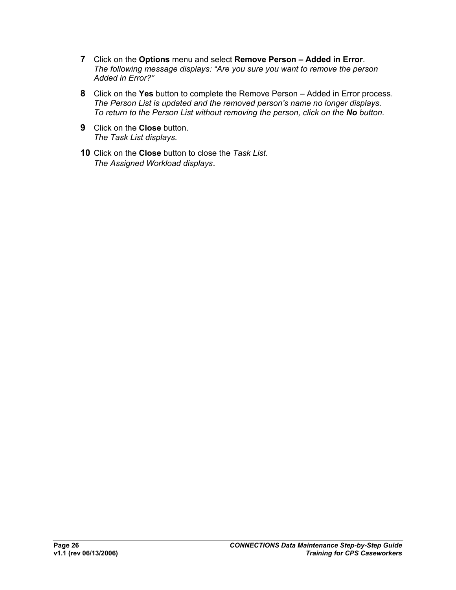- **7** Click on the **Options** menu and select **Remove Person Added in Error**. *The following message displays: "Are you sure you want to remove the person Added in Error?"*
- **8** Click on the **Yes** button to complete the Remove Person Added in Error process. *The Person List is updated and the removed person's name no longer displays. To return to the Person List without removing the person, click on the No button.*
- **9** Click on the **Close** button. *The Task List displays.*
- **10** Click on the **Close** button to close the *Task List*. *The Assigned Workload displays*.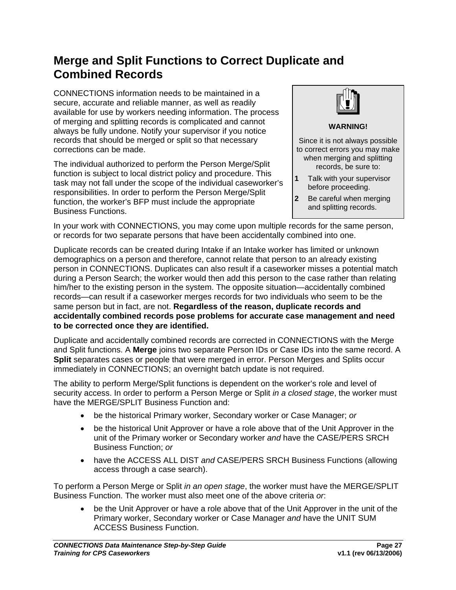# <span id="page-29-1"></span><span id="page-29-0"></span>**Merge and Split Functions to Correct Duplicate and Combined Records**

CONNECTIONS information needs to be maintained in a secure, accurate and reliable manner, as well as readily available for use by workers needing information. The process of merging and splitting records is complicated and cannot always be fully undone. Notify your supervisor if you notice records that should be merged or split so that necessary corrections can be made.

The individual authorized to perform the Person Merge/Split function is subject to local district policy and procedure. This task may not fall under the scope of the individual caseworker's responsibilities. In order to perform the Person Merge/Split function, the worker's BFP must include the appropriate Business Functions.



**WARNING!** 

Since it is not always possible to correct errors you may make when merging and splitting records, be sure to:

- **1** Talk with your supervisor before proceeding.
- **2** Be careful when merging and splitting records.

In your work with CONNECTIONS, you may come upon multiple records for the same person, or records for two separate persons that have been accidentally combined into one.

Duplicate records can be created during Intake if an Intake worker has limited or unknown demographics on a person and therefore, cannot relate that person to an already existing person in CONNECTIONS. Duplicates can also result if a caseworker misses a potential match during a Person Search; the worker would then add this person to the case rather than relating him/her to the existing person in the system. The opposite situation—accidentally combined records—can result if a caseworker merges records for two individuals who seem to be the same person but in fact, are not. **Regardless of the reason, duplicate records and accidentally combined records pose problems for accurate case management and need to be corrected once they are identified.** 

Duplicate and accidentally combined records are corrected in CONNECTIONS with the Merge and Split functions. A **Merge** joins two separate Person IDs or Case IDs into the same record. A **Split** separates cases or people that were merged in error. Person Merges and Splits occur immediately in CONNECTIONS; an overnight batch update is not required.

The ability to perform Merge/Split functions is dependent on the worker's role and level of security access. In order to perform a Person Merge or Split *in a closed stage*, the worker must have the MERGE/SPLIT Business Function and:

- be the historical Primary worker, Secondary worker or Case Manager; *or*
- be the historical Unit Approver or have a role above that of the Unit Approver in the unit of the Primary worker or Secondary worker *and* have the CASE/PERS SRCH Business Function; *or*
- have the ACCESS ALL DIST *and* CASE/PERS SRCH Business Functions (allowing access through a case search).

To perform a Person Merge or Split *in an open stage*, the worker must have the MERGE/SPLIT Business Function. The worker must also meet one of the above criteria *or*:

• be the Unit Approver or have a role above that of the Unit Approver in the unit of the Primary worker, Secondary worker or Case Manager *and* have the UNIT SUM ACCESS Business Function.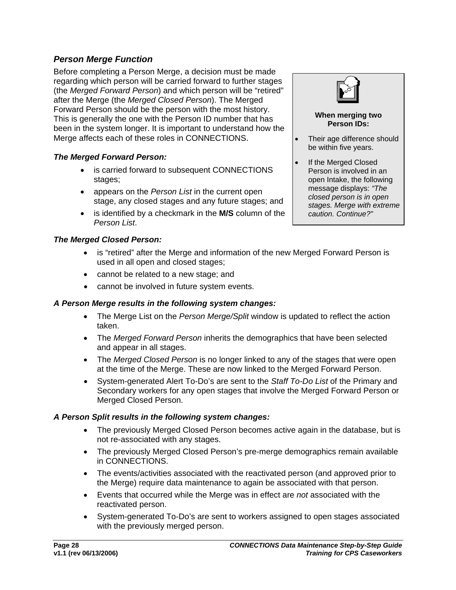## <span id="page-30-1"></span><span id="page-30-0"></span>*Person Merge Function*

Before completing a Person Merge, a decision must be made regarding which person will be carried forward to further stages (the *Merged Forward Person*) and which person will be "retired" after the Merge (the *Merged Closed Person*). The Merged Forward Person should be the person with the most history. This is generally the one with the Person ID number that has been in the system longer. It is important to understand how the Merge affects each of these roles in CONNECTIONS.

#### *The Merged Forward Person:*

- is carried forward to subsequent CONNECTIONS stages;
- appears on the *Person List* in the current open stage, any closed stages and any future stages; and
- is identified by a checkmark in the **M/S** column of the *Person List*.

## *The Merged Closed Person:*

- is "retired" after the Merge and information of the new Merged Forward Person is used in all open and closed stages;
- cannot be related to a new stage; and
- cannot be involved in future system events.

## *A Person Merge results in the following system changes:*

- The Merge List on the *Person Merge/Split* window is updated to reflect the action taken.
- The *Merged Forward Person* inherits the demographics that have been selected and appear in all stages.
- The *Merged Closed Person* is no longer linked to any of the stages that were open at the time of the Merge. These are now linked to the Merged Forward Person.
- System-generated Alert To-Do's are sent to the *Staff To-Do List* of the Primary and Secondary workers for any open stages that involve the Merged Forward Person or Merged Closed Person.

#### *A Person Split results in the following system changes:*

- The previously Merged Closed Person becomes active again in the database, but is not re-associated with any stages.
- The previously Merged Closed Person's pre-merge demographics remain available in CONNECTIONS.
- The events/activities associated with the reactivated person (and approved prior to the Merge) require data maintenance to again be associated with that person.
- Events that occurred while the Merge was in effect are *not* associated with the reactivated person.
- System-generated To-Do's are sent to workers assigned to open stages associated with the previously merged person.



#### **When merging two Person IDs:**

- Their age difference should be within five years.
- If the Merged Closed Person is involved in an open Intake, the following message displays: *"The closed person is in open stages. Merge with extreme caution. Continue?"*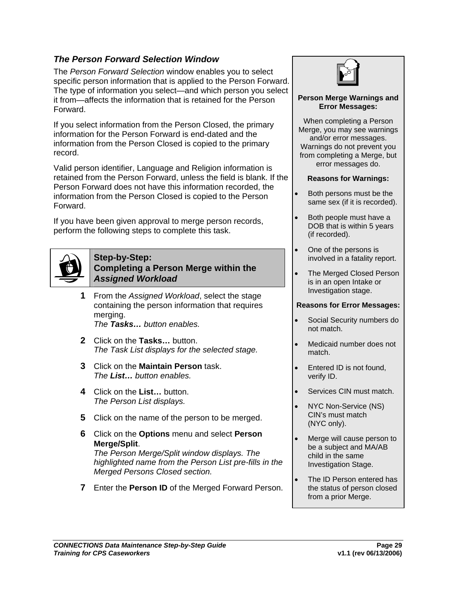## <span id="page-31-0"></span>*The Person Forward Selection Window*

The *Person Forward Selection* window enables you to select specific person information that is applied to the Person Forward. The type of information you select—and which person you select it from—affects the information that is retained for the Person Forward.

If you select information from the Person Closed, the primary information for the Person Forward is end-dated and the information from the Person Closed is copied to the primary record.

Valid person identifier, Language and Religion information is retained from the Person Forward, unless the field is blank. If the Person Forward does not have this information recorded, the information from the Person Closed is copied to the Person Forward.

If you have been given approval to merge person records, perform the following steps to complete this task.

<span id="page-31-1"></span>

#### **Step-by-Step: Completing a Person Merge within the**  *Assigned Workload*

**1** From the *Assigned Workload*, select the stage containing the person information that requires merging.

*The Tasks… button enables.*

- **2** Click on the **Tasks…** button. *The Task List displays for the selected stage.*
- **3** Click on the **Maintain Person** task. *The List… button enables.*
- **4** Click on the **List…** button. *The Person List displays.*
- **5** Click on the name of the person to be merged.
- **6** Click on the **Options** menu and select **Person Merge/Split**.

*The Person Merge/Split window displays. The highlighted name from the Person List pre-fills in the Merged Persons Closed section.* 

**7** Enter the **Person ID** of the Merged Forward Person.



#### **Person Merge Warnings and Error Messages:**

When completing a Person Merge, you may see warnings and/or error messages. Warnings do not prevent you from completing a Merge, but error messages do.

#### **Reasons for Warnings:**

- Both persons must be the same sex (if it is recorded).
- Both people must have a DOB that is within 5 years (if recorded).
- One of the persons is involved in a fatality report.
- The Merged Closed Person is in an open Intake or Investigation stage.

#### **Reasons for Error Messages:**

- Social Security numbers do not match.
- Medicaid number does not match.
- Entered ID is not found, verify ID.
- Services CIN must match.
- NYC Non-Service (NS) CIN's must match (NYC only).
- Merge will cause person to be a subject and MA/AB child in the same Investigation Stage.
- The ID Person entered has the status of person closed from a prior Merge.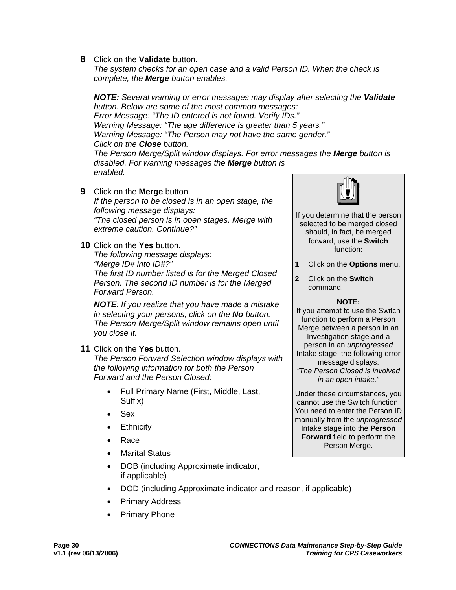**8** Click on the **Validate** button.

*The system checks for an open case and a valid Person ID. When the check is complete, the Merge button enables.* 

*NOTE: Several warning or error messages may display after selecting the Validate button. Below are some of the most common messages: Error Message: "The ID entered is not found. Verify IDs." Warning Message: "The age difference is greater than 5 years." Warning Message: "The Person may not have the same gender." Click on the Close button. The Person Merge/Split window displays. For error messages the Merge button is disabled. For warning messages the Merge button is enabled.* **9** Click on the **Merge** button.

*If the person to be closed is in an open stage, the following message displays: "The closed person is in open stages. Merge with extreme caution. Continue?"* 

**10** Click on the **Yes** button.

*The following message displays: "Merge ID# into ID#?" The first ID number listed is for the Merged Closed Person. The second ID number is for the Merged Forward Person.*

*NOTE: If you realize that you have made a mistake in selecting your persons, click on the No button. The Person Merge/Split window remains open until you close it.*

**11** Click on the **Yes** button.

*The Person Forward Selection window displays with the following information for both the Person Forward and the Person Closed:* 

- Full Primary Name (First, Middle, Last, Suffix)
- Sex
- **Ethnicity**
- Race
- Marital Status
- DOB (including Approximate indicator, if applicable)
- DOD (including Approximate indicator and reason, if applicable)
- Primary Address
- Primary Phone



- If you determine that the person selected to be merged closed should, in fact, be merged forward, use the **Switch** function:
- **1** Click on the **Options** menu.
- **2** Click on the **Switch**  command.

#### **NOTE:**

If you attempt to use the Switch function to perform a Person Merge between a person in an Investigation stage and a person in an *unprogressed* Intake stage, the following error message displays: *"The Person Closed is involved in an open intake."*

Under these circumstances, you cannot use the Switch function. You need to enter the Person ID manually from the *unprogressed* Intake stage into the **Person Forward** field to perform the Person Merge.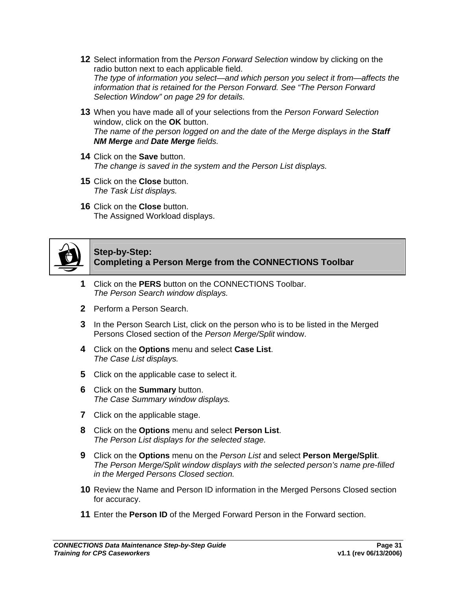- **12** Select information from the *Person Forward Selection* window by clicking on the radio button next to each applicable field. *The type of information you select—and which person you select it from—affects the information that is retained for the Person Forward. See "The Person Forward Selection Window" on page [29](#page-31-0) for details.*
- **13** When you have made all of your selections from the *Person Forward Selection* window, click on the **OK** button. *The name of the person logged on and the date of the Merge displays in the Staff NM Merge and Date Merge fields.*
- **14** Click on the **Save** button. *The change is saved in the system and the Person List displays.*
- **15** Click on the **Close** button. *The Task List displays.*
- **16** Click on the **Close** button. The Assigned Workload displays.



#### **Step-by-Step: Completing a Person Merge from the CONNECTIONS Toolbar**

- **1** Click on the **PERS** button on the CONNECTIONS Toolbar. *The Person Search window displays.*
- **2** Perform a Person Search.
- **3** In the Person Search List, click on the person who is to be listed in the Merged Persons Closed section of the *Person Merge/Split* window.
- **4** Click on the **Options** menu and select **Case List**. *The Case List displays.*
- **5** Click on the applicable case to select it.
- **6** Click on the **Summary** button. *The Case Summary window displays.*
- **7** Click on the applicable stage.
- **8** Click on the **Options** menu and select **Person List**. *The Person List displays for the selected stage.*
- **9** Click on the **Options** menu on the *Person List* and select **Person Merge/Split**. *The Person Merge/Split window displays with the selected person's name pre-filled in the Merged Persons Closed section.*
- **10** Review the Name and Person ID information in the Merged Persons Closed section for accuracy.
- **11** Enter the **Person ID** of the Merged Forward Person in the Forward section.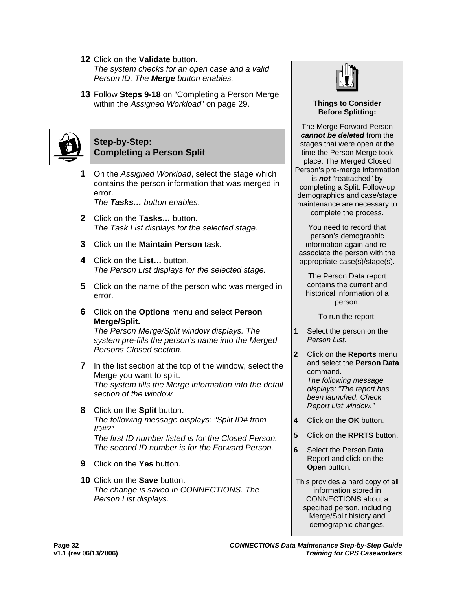- **12** Click on the **Validate** button. *The system checks for an open case and a valid Person ID. The Merge button enables.*
- **13** Follow **Steps 9-18** on "Completing a Person Merge within the *Assigned Workload*" on page [29](#page-31-1).



#### **Step-by-Step: Completing a Person Split**

**1** On the *Assigned Workload*, select the stage which contains the person information that was merged in error.

*The Tasks… button enables*.

- **2** Click on the **Tasks…** button. *The Task List displays for the selected stage*.
- **3** Click on the **Maintain Person** task.
- **4** Click on the **List…** button. *The Person List displays for the selected stage.*
- **5** Click on the name of the person who was merged in error.
- **6** Click on the **Options** menu and select **Person Merge/Split.**

*The Person Merge/Split window displays. The system pre-fills the person's name into the Merged Persons Closed section.* 

- **7** In the list section at the top of the window, select the Merge you want to split. *The system fills the Merge information into the detail section of the window.*
- **8** Click on the **Split** button. *The following message displays: "Split ID# from ID#?" The first ID number listed is for the Closed Person. The second ID number is for the Forward Person.*
- **9** Click on the **Yes** button.
- **10** Click on the **Save** button. *The change is saved in CONNECTIONS. The Person List displays.*



#### **Things to Consider Before Splitting:**

The Merge Forward Person *cannot be deleted* from the stages that were open at the time the Person Merge took place. The Merged Closed Person's pre-merge information is *not* "reattached" by completing a Split. Follow-up demographics and case/stage maintenance are necessary to complete the process.

You need to record that person's demographic information again and reassociate the person with the appropriate case(s)/stage(s).

The Person Data report contains the current and historical information of a person.

To run the report:

- **1** Select the person on the *Person List.*
- **2** Click on the **Reports** menu and select the **Person Data** command. *The following message displays: "The report has been launched. Check Report List window."*
- **4** Click on the **OK** button.
- **5** Click on the **RPRTS** button.
- **6** Select the Person Data Report and click on the **Open** button.
- This provides a hard copy of all information stored in CONNECTIONS about a specified person, including Merge/Split history and demographic changes.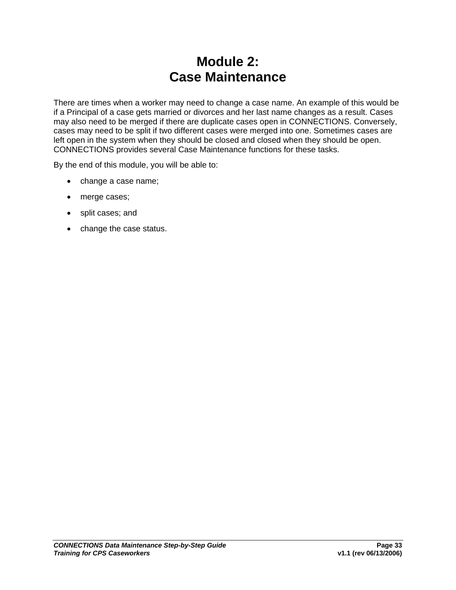# **Module 2: Case Maintenance**

<span id="page-35-0"></span>There are times when a worker may need to change a case name. An example of this would be if a Principal of a case gets married or divorces and her last name changes as a result. Cases may also need to be merged if there are duplicate cases open in CONNECTIONS. Conversely, cases may need to be split if two different cases were merged into one. Sometimes cases are left open in the system when they should be closed and closed when they should be open. CONNECTIONS provides several Case Maintenance functions for these tasks.

By the end of this module, you will be able to:

- change a case name;
- merge cases;
- split cases; and
- change the case status.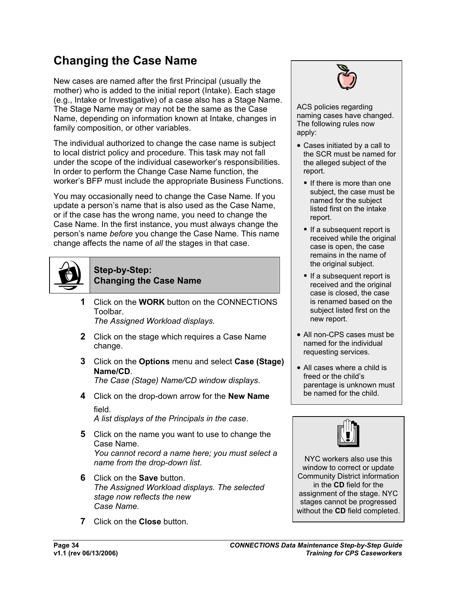## **Changing the Case Name**

New cases are named after the first Principal (usually the mother) who is added to the initial report (Intake). Each stage (e.g., Intake or Investigative) of a case also has a Stage Name. The Stage Name may or may not be the same as the Case Name, depending on information known at Intake, changes in family composition, or other variables.

The individual authorized to change the case name is subject to local district policy and procedure. This task may not fall under the scope of the individual caseworker's responsibilities. In order to perform the Change Case Name function, the worker's BFP must include the appropriate Business Functions.

You may occasionally need to change the Case Name. If you update a person's name that is also used as the Case Name, or if the case has the wrong name, you need to change the Case Name. In the first instance, you must always change the person's name *before* you change the Case Name. This name change affects the name of *all* the stages in that case.



# **Step-by-Step:**

**Changing the Case Name**

**1** Click on the **WORK** button on the CONNECTIONS Toolbar.

*The Assigned Workload displays.* 

- **2** Click on the stage which requires a Case Name change.
- **3** Click on the **Options** menu and select **Case (Stage) Name/CD**.

*The Case (Stage) Name/CD window displays*.

**4** Click on the drop-down arrow for the **New Name** field.

*A list displays of the Principals in the case*.

- **5** Click on the name you want to use to change the Case Name. *You cannot record a name here; you must select a name from the drop-down list*.
- **6** Click on the **Save** button. *The Assigned Workload displays. The selected stage now reflects the new Case Name.*
- **7** Click on the **Close** button.



ACS policies regarding naming cases have changed. The following rules now apply:

- Cases initiated by a call to the SCR must be named for the alleged subject of the report.
	- $\blacksquare$  If there is more than one subject, the case must be named for the subject listed first on the intake report.
	- If a subsequent report is received while the original case is open, the case remains in the name of the original subject.
	- If a subsequent report is received and the original case is closed, the case is renamed based on the subject listed first on the new report.
- All non-CPS cases must be named for the individual requesting services.
- All cases where a child is freed or the child's parentage is unknown must be named for the child.



NYC workers also use this window to correct or update Community District information in the **CD** field for the assignment of the stage. NYC stages cannot be progressed without the **CD** field completed.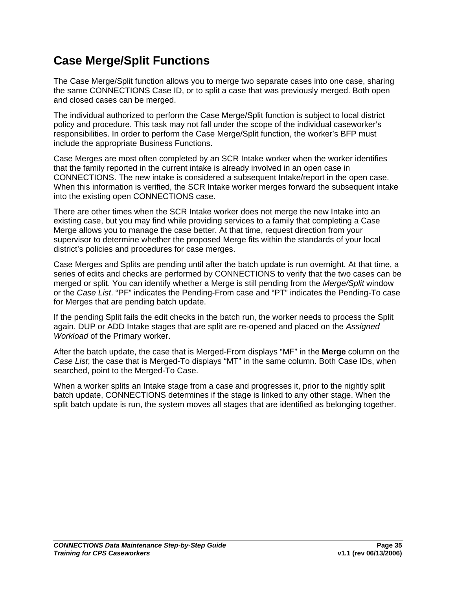## **Case Merge/Split Functions**

The Case Merge/Split function allows you to merge two separate cases into one case, sharing the same CONNECTIONS Case ID, or to split a case that was previously merged. Both open and closed cases can be merged.

The individual authorized to perform the Case Merge/Split function is subject to local district policy and procedure. This task may not fall under the scope of the individual caseworker's responsibilities. In order to perform the Case Merge/Split function, the worker's BFP must include the appropriate Business Functions.

Case Merges are most often completed by an SCR Intake worker when the worker identifies that the family reported in the current intake is already involved in an open case in CONNECTIONS. The new intake is considered a subsequent Intake/report in the open case. When this information is verified, the SCR Intake worker merges forward the subsequent intake into the existing open CONNECTIONS case.

There are other times when the SCR Intake worker does not merge the new Intake into an existing case, but you may find while providing services to a family that completing a Case Merge allows you to manage the case better. At that time, request direction from your supervisor to determine whether the proposed Merge fits within the standards of your local district's policies and procedures for case merges.

Case Merges and Splits are pending until after the batch update is run overnight. At that time, a series of edits and checks are performed by CONNECTIONS to verify that the two cases can be merged or split. You can identify whether a Merge is still pending from the *Merge/Split* window or the *Case List*. "PF" indicates the Pending-From case and "PT" indicates the Pending-To case for Merges that are pending batch update.

If the pending Split fails the edit checks in the batch run, the worker needs to process the Split again. DUP or ADD Intake stages that are split are re-opened and placed on the *Assigned Workload* of the Primary worker.

After the batch update, the case that is Merged-From displays "MF" in the **Merge** column on the *Case List*; the case that is Merged-To displays "MT" in the same column. Both Case IDs, when searched, point to the Merged-To Case.

When a worker splits an Intake stage from a case and progresses it, prior to the nightly split batch update, CONNECTIONS determines if the stage is linked to any other stage. When the split batch update is run, the system moves all stages that are identified as belonging together.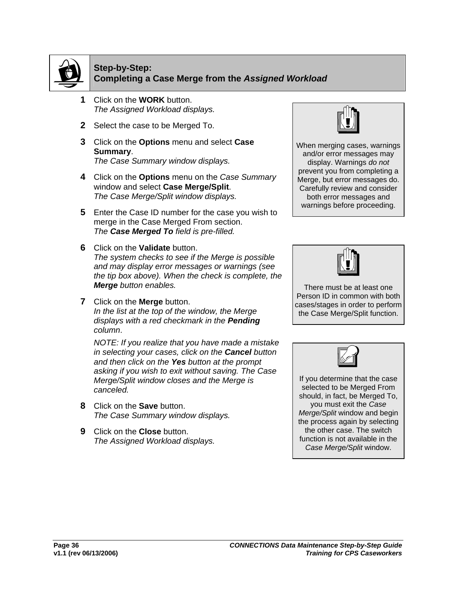

#### **Step-by-Step: Completing a Case Merge from the** *Assigned Workload*

- **1** Click on the **WORK** button. *The Assigned Workload displays.*
- **2** Select the case to be Merged To.
- **3** Click on the **Options** menu and select **Case Summary**. *The Case Summary window displays.*
- **4** Click on the **Options** menu on the *Case Summary* window and select **Case Merge/Split**. *The Case Merge/Split window displays.*
- **5** Enter the Case ID number for the case you wish to merge in the Case Merged From section. *The Case Merged To field is pre-filled.*
- **6** Click on the **Validate** button. *The system checks to see if the Merge is possible and may display error messages or warnings (see the tip box above). When the check is complete, the Merge button enables.*
- **7** Click on the **Merge** button. *In the list at the top of the window, the Merge displays with a red checkmark in the Pending column*.

*NOTE: If you realize that you have made a mistake in selecting your cases, click on the Cancel button and then click on the Yes button at the prompt asking if you wish to exit without saving. The Case Merge/Split window closes and the Merge is canceled.* 

- **8** Click on the **Save** button. *The Case Summary window displays.*
- **9** Click on the **Close** button. *The Assigned Workload displays.*



When merging cases, warnings and/or error messages may display. Warnings *do not*  prevent you from completing a Merge, but error messages do. Carefully review and consider both error messages and warnings before proceeding.



There must be at least one Person ID in common with both cases/stages in order to perform the Case Merge/Split function.



If you determine that the case selected to be Merged From should, in fact, be Merged To, you must exit the *Case Merge/Split* window and begin the process again by selecting the other case. The switch function is not available in the *Case Merge/Split* window.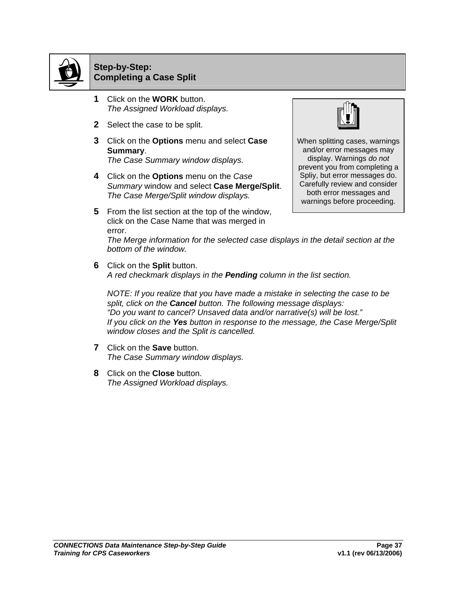

### **Step-by-Step: Completing a Case Split**

- **1** Click on the **WORK** button. *The Assigned Workload displays.*
- **2** Select the case to be split.
- **3** Click on the **Options** menu and select **Case Summary**. *The Case Summary window displays.*
- **4** Click on the **Options** menu on the *Case Summary* window and select **Case Merge/Split**. *The Case Merge/Split window displays.*
- **5** From the list section at the top of the window, click on the Case Name that was merged in error.



When splitting cases, warnings and/or error messages may display. Warnings *do not*  prevent you from completing a Spliy, but error messages do. Carefully review and consider both error messages and warnings before proceeding.

*The Merge information for the selected case displays in the detail section at the bottom of the window.*

**6** Click on the **Split** button. *A red checkmark displays in the Pending column in the list section.* 

*NOTE: If you realize that you have made a mistake in selecting the case to be split, click on the Cancel button. The following message displays: "Do you want to cancel? Unsaved data and/or narrative(s) will be lost." If you click on the Yes button in response to the message, the Case Merge/Split window closes and the Split is cancelled.*

- **7** Click on the **Save** button. *The Case Summary window displays.*
- **8** Click on the **Close** button. *The Assigned Workload displays.*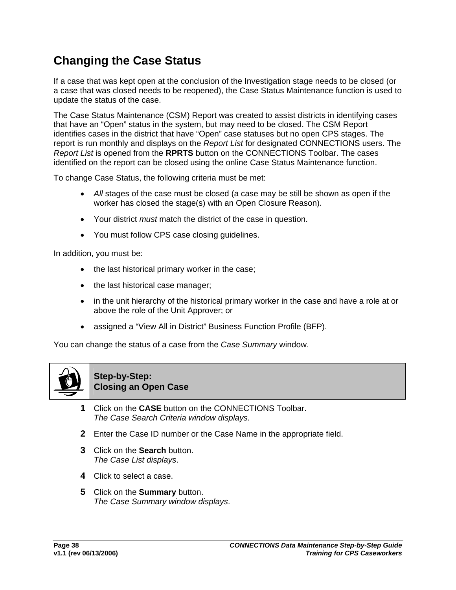## **Changing the Case Status**

If a case that was kept open at the conclusion of the Investigation stage needs to be closed (or a case that was closed needs to be reopened), the Case Status Maintenance function is used to update the status of the case.

The Case Status Maintenance (CSM) Report was created to assist districts in identifying cases that have an "Open" status in the system, but may need to be closed. The CSM Report identifies cases in the district that have "Open" case statuses but no open CPS stages. The report is run monthly and displays on the *Report List* for designated CONNECTIONS users. The *Report List* is opened from the **RPRTS** button on the CONNECTIONS Toolbar. The cases identified on the report can be closed using the online Case Status Maintenance function.

To change Case Status, the following criteria must be met:

- *All* stages of the case must be closed (a case may be still be shown as open if the worker has closed the stage(s) with an Open Closure Reason).
- Your district *must* match the district of the case in question.
- You must follow CPS case closing guidelines.

In addition, you must be:

- the last historical primary worker in the case;
- the last historical case manager;
- in the unit hierarchy of the historical primary worker in the case and have a role at or above the role of the Unit Approver; or
- assigned a "View All in District" Business Function Profile (BFP).

You can change the status of a case from the *Case Summary* window.



**Step-by-Step: Closing an Open Case**

- **1** Click on the **CASE** button on the CONNECTIONS Toolbar. *The Case Search Criteria window displays.*
- **2** Enter the Case ID number or the Case Name in the appropriate field.
- **3** Click on the **Search** button. *The Case List displays*.
- **4** Click to select a case.
- **5** Click on the **Summary** button. *The Case Summary window displays*.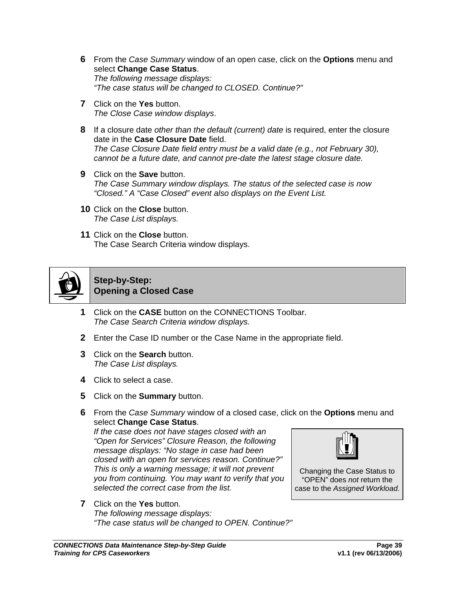- **6** From the *Case Summary* window of an open case, click on the **Options** menu and select **Change Case Status**. *The following message displays: "The case status will be changed to CLOSED. Continue?"*
- **7** Click on the **Yes** button. *The Close Case window displays*.
- **8** If a closure date *other than the default (current) date* is required, enter the closure date in the **Case Closure Date** field. *The Case Closure Date field entry must be a valid date (e.g., not February 30), cannot be a future date, and cannot pre-date the latest stage closure date.*
- **9** Click on the **Save** button. *The Case Summary window displays. The status of the selected case is now "Closed." A "Case Closed" event also displays on the Event List.*
- **10** Click on the **Close** button. *The Case List displays.*
- **11** Click on the **Close** button. The Case Search Criteria window displays.



#### **Step-by-Step: Opening a Closed Case**

- **1** Click on the **CASE** button on the CONNECTIONS Toolbar. *The Case Search Criteria window displays.*
- **2** Enter the Case ID number or the Case Name in the appropriate field.
- **3** Click on the **Search** button. *The Case List displays.*
- **4** Click to select a case.
- **5** Click on the **Summary** button.
- **6** From the *Case Summary* window of a closed case, click on the **Options** menu and select **Change Case Status**.

*If the case does not have stages closed with an "Open for Services" Closure Reason, the following message displays: "No stage in case had been closed with an open for services reason. Continue?" This is only a warning message; it will not prevent you from continuing. You may want to verify that you selected the correct case from the list.* 



Changing the Case Status to "OPEN" does *not* return the case to the *Assigned Workload.*

**7** Click on the **Yes** button. *The following message displays: "The case status will be changed to OPEN. Continue?"*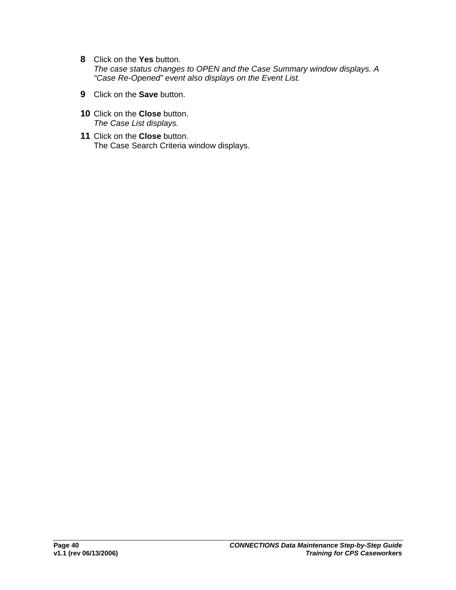- **8** Click on the **Yes** button. *The case status changes to OPEN and the Case Summary window displays. A "Case Re-Opened" event also displays on the Event List.*
- **9** Click on the **Save** button.
- **10** Click on the **Close** button. *The Case List displays.*
- **11** Click on the **Close** button. The Case Search Criteria window displays.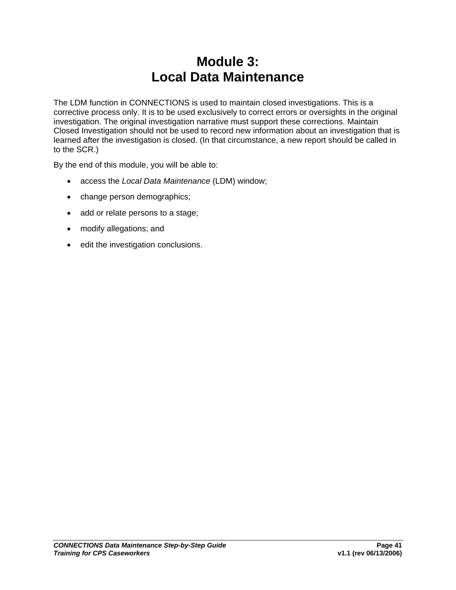## **Module 3: Local Data Maintenance**

The LDM function in CONNECTIONS is used to maintain closed investigations. This is a corrective process only. It is to be used exclusively to correct errors or oversights in the original investigation. The original investigation narrative must support these corrections. Maintain Closed Investigation should not be used to record new information about an investigation that is learned after the investigation is closed. (In that circumstance, a new report should be called in to the SCR.)

By the end of this module, you will be able to:

- access the *Local Data Maintenance* (LDM) window;
- change person demographics;
- add or relate persons to a stage;
- modify allegations; and
- edit the investigation conclusions.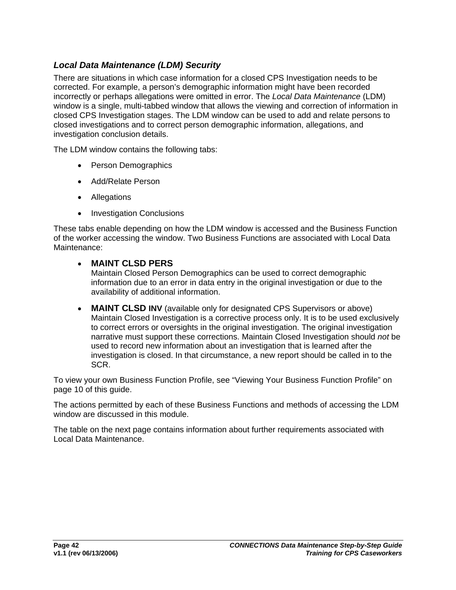## *Local Data Maintenance (LDM) Security*

There are situations in which case information for a closed CPS Investigation needs to be corrected. For example, a person's demographic information might have been recorded incorrectly or perhaps allegations were omitted in error. The *Local Data Maintenance* (LDM) window is a single, multi-tabbed window that allows the viewing and correction of information in closed CPS Investigation stages. The LDM window can be used to add and relate persons to closed investigations and to correct person demographic information, allegations, and investigation conclusion details.

The LDM window contains the following tabs:

- Person Demographics
- Add/Relate Person
- Allegations
- Investigation Conclusions

These tabs enable depending on how the LDM window is accessed and the Business Function of the worker accessing the window. Two Business Functions are associated with Local Data Maintenance:

#### • **MAINT CLSD PERS**

Maintain Closed Person Demographics can be used to correct demographic information due to an error in data entry in the original investigation or due to the availability of additional information.

• **MAINT CLSD INV** (available only for designated CPS Supervisors or above) Maintain Closed Investigation is a corrective process only. It is to be used exclusively to correct errors or oversights in the original investigation. The original investigation narrative must support these corrections. Maintain Closed Investigation should *not* be used to record new information about an investigation that is learned after the investigation is closed. In that circumstance, a new report should be called in to the SCR.

To view your own Business Function Profile, see "Viewing Your Business Function Profile" on page [10](#page-12-0) of this guide.

The actions permitted by each of these Business Functions and methods of accessing the LDM window are discussed in this module.

The table on the next page contains information about further requirements associated with Local Data Maintenance.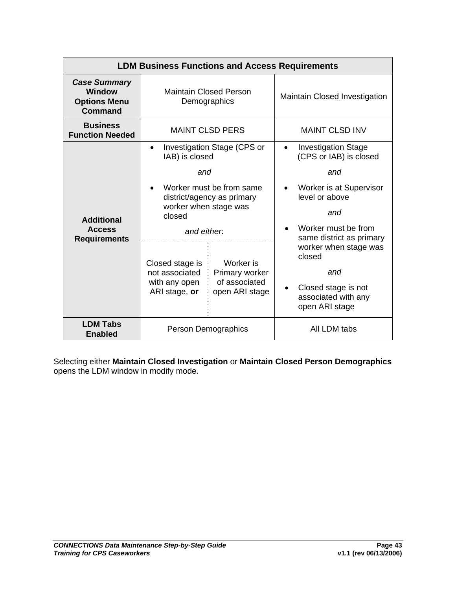| <b>LDM Business Functions and Access Requirements</b>                  |                                                                                                                                               |                                                                                                                                                         |                                                                                                                                                                                                                                                                                                        |  |
|------------------------------------------------------------------------|-----------------------------------------------------------------------------------------------------------------------------------------------|---------------------------------------------------------------------------------------------------------------------------------------------------------|--------------------------------------------------------------------------------------------------------------------------------------------------------------------------------------------------------------------------------------------------------------------------------------------------------|--|
| <b>Case Summary</b><br><b>Window</b><br><b>Options Menu</b><br>Command | <b>Maintain Closed Person</b><br>Demographics                                                                                                 |                                                                                                                                                         | Maintain Closed Investigation                                                                                                                                                                                                                                                                          |  |
| <b>Business</b><br><b>Function Needed</b>                              | <b>MAINT CLSD PERS</b>                                                                                                                        |                                                                                                                                                         | <b>MAINT CLSD INV</b>                                                                                                                                                                                                                                                                                  |  |
| <b>Additional</b><br><b>Access</b><br><b>Requirements</b>              | IAB) is closed<br>and<br>worker when stage was<br>closed<br>and either<br>Closed stage is<br>not associated<br>with any open<br>ARI stage, or | Investigation Stage (CPS or<br>Worker must be from same<br>district/agency as primary<br>Worker is<br>Primary worker<br>of associated<br>open ARI stage | <b>Investigation Stage</b><br>$\bullet$<br>(CPS or IAB) is closed<br>and<br>Worker is at Supervisor<br>$\bullet$<br>level or above<br>and<br>Worker must be from<br>same district as primary<br>worker when stage was<br>closed<br>and<br>Closed stage is not<br>associated with any<br>open ARI stage |  |
| <b>LDM Tabs</b><br><b>Enabled</b>                                      | Person Demographics                                                                                                                           |                                                                                                                                                         | All LDM tabs                                                                                                                                                                                                                                                                                           |  |

Selecting either **Maintain Closed Investigation** or **Maintain Closed Person Demographics**  opens the LDM window in modify mode.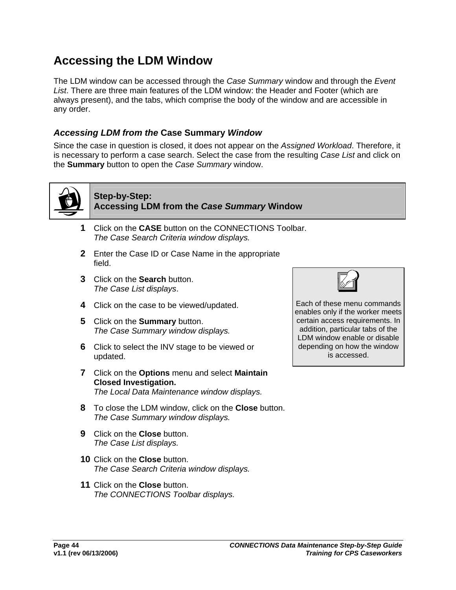## <span id="page-46-0"></span>**Accessing the LDM Window**

The LDM window can be accessed through the *Case Summary* window and through the *Event List*. There are three main features of the LDM window: the Header and Footer (which are always present), and the tabs, which comprise the body of the window and are accessible in any order.

### *Accessing LDM from the* **Case Summary** *Window*

Since the case in question is closed, it does not appear on the *Assigned Workload*. Therefore, it is necessary to perform a case search. Select the case from the resulting *Case List* and click on the **Summary** button to open the *Case Summary* window.



## **Step-by-Step: Accessing LDM from the** *Case Summary* **Window**

- **1** Click on the **CASE** button on the CONNECTIONS Toolbar. *The Case Search Criteria window displays.*
- **2** Enter the Case ID or Case Name in the appropriate field.
- **3** Click on the **Search** button. *The Case List displays*.
- **4** Click on the case to be viewed/updated.
- **5** Click on the **Summary** button. *The Case Summary window displays.*
- **6** Click to select the INV stage to be viewed or updated.
- **7** Click on the **Options** menu and select **Maintain Closed Investigation.**  *The Local Data Maintenance window displays.*
- **8** To close the LDM window, click on the **Close** button. *The Case Summary window displays.*
- **9** Click on the **Close** button. *The Case List displays.*
- **10** Click on the **Close** button. *The Case Search Criteria window displays.*
- **11** Click on the **Close** button. *The CONNECTIONS Toolbar displays.*



Each of these menu commands enables only if the worker meets certain access requirements. In addition, particular tabs of the LDM window enable or disable depending on how the window is accessed.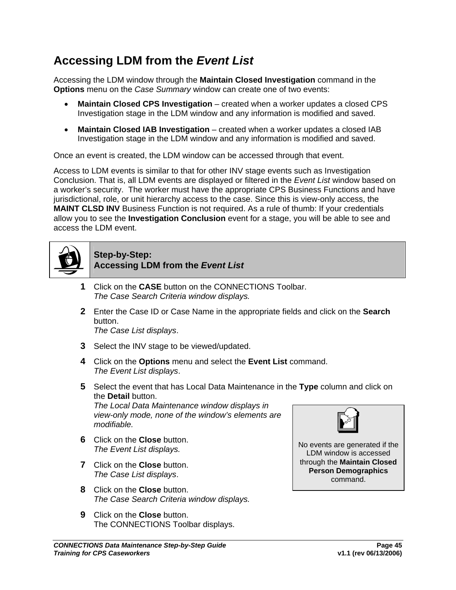## **Accessing LDM from the** *Event List*

Accessing the LDM window through the **Maintain Closed Investigation** command in the **Options** menu on the *Case Summary* window can create one of two events:

- **Maintain Closed CPS Investigation** created when a worker updates a closed CPS Investigation stage in the LDM window and any information is modified and saved.
- **Maintain Closed IAB Investigation** created when a worker updates a closed IAB Investigation stage in the LDM window and any information is modified and saved.

Once an event is created, the LDM window can be accessed through that event.

Access to LDM events is similar to that for other INV stage events such as Investigation Conclusion. That is, all LDM events are displayed or filtered in the *Event List* window based on a worker's security. The worker must have the appropriate CPS Business Functions and have jurisdictional, role, or unit hierarchy access to the case. Since this is view-only access, the **MAINT CLSD INV** Business Function is not required. As a rule of thumb: If your credentials allow you to see the **Investigation Conclusion** event for a stage, you will be able to see and access the LDM event.



#### **Step-by-Step: Accessing LDM from the** *Event List*

- **1** Click on the **CASE** button on the CONNECTIONS Toolbar. *The Case Search Criteria window displays.*
- **2** Enter the Case ID or Case Name in the appropriate fields and click on the **Search** button. *The Case List displays*.
- **3** Select the INV stage to be viewed/updated.
- **4** Click on the **Options** menu and select the **Event List** command. *The Event List displays*.
- **5** Select the event that has Local Data Maintenance in the **Type** column and click on the **Detail** button.

*The Local Data Maintenance window displays in view-only mode, none of the window's elements are modifiable.* 

- **6** Click on the **Close** button. *The Event List displays.*
- **7** Click on the **Close** button. *The Case List displays*.
- **8** Click on the **Close** button. *The Case Search Criteria window displays.*
- **9** Click on the **Close** button. The CONNECTIONS Toolbar displays.





No events are generated if the LDM window is accessed through the **Maintain Closed Person Demographics**  command.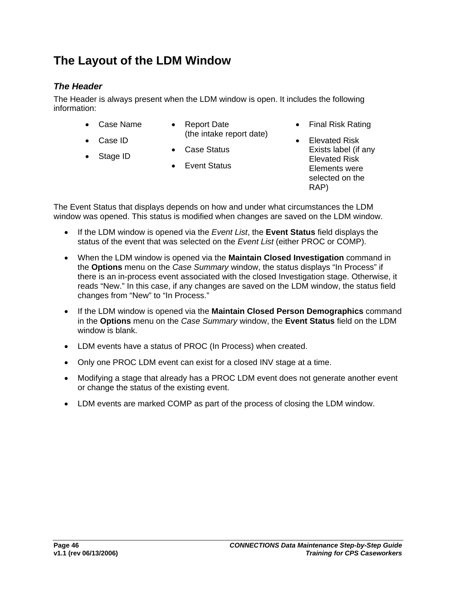## **The Layout of the LDM Window**

## *The Header*

The Header is always present when the LDM window is open. It includes the following information:

- Case Name
- Report Date (the intake report date)
- Case Status
- Stage ID

• Case ID

- 
- Event Status
- Final Risk Rating
- Elevated Risk Exists label (if any Elevated Risk Elements were selected on the RAP)

The Event Status that displays depends on how and under what circumstances the LDM window was opened. This status is modified when changes are saved on the LDM window.

- If the LDM window is opened via the *Event List*, the **Event Status** field displays the status of the event that was selected on the *Event List* (either PROC or COMP).
- When the LDM window is opened via the **Maintain Closed Investigation** command in the **Options** menu on the *Case Summary* window, the status displays "In Process" if there is an in-process event associated with the closed Investigation stage. Otherwise, it reads "New." In this case, if any changes are saved on the LDM window, the status field changes from "New" to "In Process."
- If the LDM window is opened via the **Maintain Closed Person Demographics** command in the **Options** menu on the *Case Summary* window, the **Event Status** field on the LDM window is blank.
- LDM events have a status of PROC (In Process) when created.
- Only one PROC LDM event can exist for a closed INV stage at a time.
- Modifying a stage that already has a PROC LDM event does not generate another event or change the status of the existing event.
- LDM events are marked COMP as part of the process of closing the LDM window.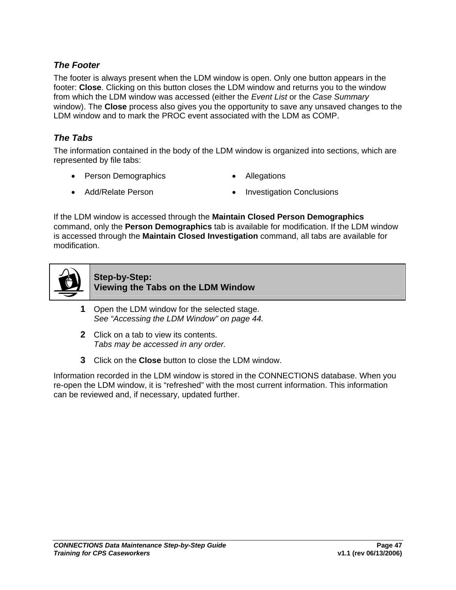### *The Footer*

The footer is always present when the LDM window is open. Only one button appears in the footer: **Close**. Clicking on this button closes the LDM window and returns you to the window from which the LDM window was accessed (either the *Event List* or the *Case Summary* window). The **Close** process also gives you the opportunity to save any unsaved changes to the LDM window and to mark the PROC event associated with the LDM as COMP.

### *The Tabs*

The information contained in the body of the LDM window is organized into sections, which are represented by file tabs:

- Person Demographics Allegations
- 
- Add/Relate Person Investigation Conclusions

If the LDM window is accessed through the **Maintain Closed Person Demographics** command, only the **Person Demographics** tab is available for modification. If the LDM window is accessed through the **Maintain Closed Investigation** command, all tabs are available for modification.



**Step-by-Step: Viewing the Tabs on the LDM Window**

- **1** Open the LDM window for the selected stage. *See ["Accessing the LDM Window](#page-46-0)" on page [44.](#page-46-0)*
- **2** Click on a tab to view its contents. *Tabs may be accessed in any order.*
- **3** Click on the **Close** button to close the LDM window.

Information recorded in the LDM window is stored in the CONNECTIONS database. When you re-open the LDM window, it is "refreshed" with the most current information. This information can be reviewed and, if necessary, updated further.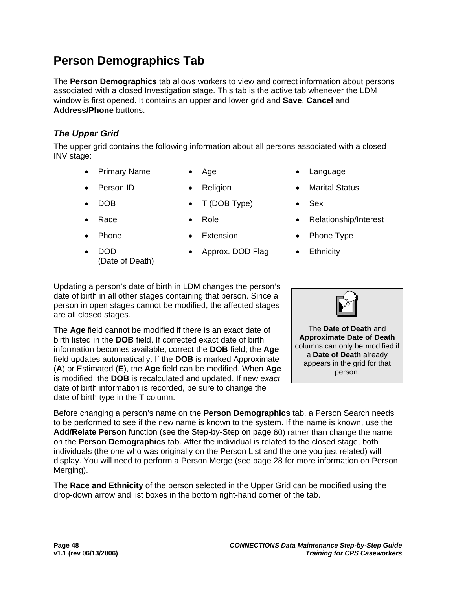## **Person Demographics Tab**

The **Person Demographics** tab allows workers to view and correct information about persons associated with a closed Investigation stage. This tab is the active tab whenever the LDM window is first opened. It contains an upper and lower grid and **Save**, **Cancel** and **Address/Phone** buttons.

## *The Upper Grid*

The upper grid contains the following information about all persons associated with a closed INV stage:

**Primary Name • Age • Canguage • Language** 

(Date of Death)

- 
- 
- DOB T (DOB Type) Sex
- 

• DOD

• Approx. DOD Flag • Ethnicity

- 
- Person ID Religion Marital Status
	-
- Race Role Role Relationship/Interest
- Phone Extension Phone Type
	-

Updating a person's date of birth in LDM changes the person's date of birth in all other stages containing that person. Since a person in open stages cannot be modified, the affected stages are all closed stages.

The **Age** field cannot be modified if there is an exact date of birth listed in the **DOB** field. If corrected exact date of birth information becomes available, correct the **DOB** field; the **Age** field updates automatically. If the **DOB** is marked Approximate (**A**) or Estimated (**E**), the **Age** field can be modified. When **Age** is modified, the **DOB** is recalculated and updated. If new *exact* date of birth information is recorded, be sure to change the date of birth type in the **T** column.

Before changing a person's name on the **Person Demographics** tab, a Person Search needs

to be performed to see if the new name is known to the system. If the name is known, use the **Add/Relate Person** function (see the Step-by-Step on page [60\)](#page-58-0) rather than change the name on the **Person Demographics** tab. After the individual is related to the closed stage, both individuals (the one who was originally on the Person List and the one you just related) will display. You will need to perform a Person Merge (see page [28](#page-30-0) for more information on Person Merging).

The **Race and Ethnicity** of the person selected in the Upper Grid can be modified using the drop-down arrow and list boxes in the bottom right-hand corner of the tab.

The **Date of Death** and **Approximate Date of Death** columns can only be modified if a **Date of Death** already appears in the grid for that person.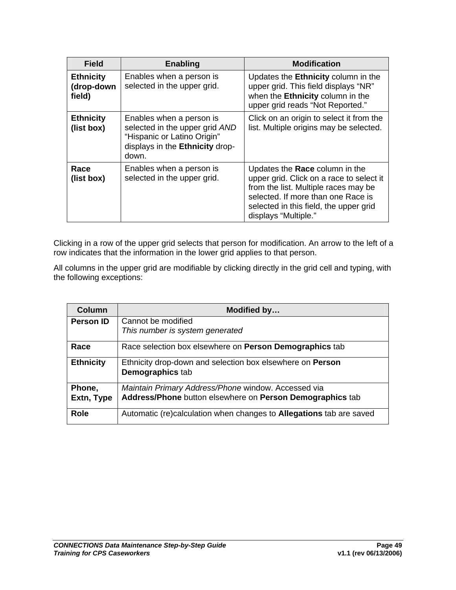| <b>Field</b>                             | <b>Enabling</b>                                                                                                                       | <b>Modification</b>                                                                                                                                                                                                        |
|------------------------------------------|---------------------------------------------------------------------------------------------------------------------------------------|----------------------------------------------------------------------------------------------------------------------------------------------------------------------------------------------------------------------------|
| <b>Ethnicity</b><br>(drop-down<br>field) | Enables when a person is<br>selected in the upper grid.                                                                               | Updates the <b>Ethnicity</b> column in the<br>upper grid. This field displays "NR"<br>when the Ethnicity column in the<br>upper grid reads "Not Reported."                                                                 |
| <b>Ethnicity</b><br>(list box)           | Enables when a person is<br>selected in the upper grid AND<br>"Hispanic or Latino Origin"<br>displays in the Ethnicity drop-<br>down. | Click on an origin to select it from the<br>list. Multiple origins may be selected.                                                                                                                                        |
| Race<br>(list box)                       | Enables when a person is<br>selected in the upper grid.                                                                               | Updates the Race column in the<br>upper grid. Click on a race to select it<br>from the list. Multiple races may be<br>selected. If more than one Race is<br>selected in this field, the upper grid<br>displays "Multiple." |

Clicking in a row of the upper grid selects that person for modification. An arrow to the left of a row indicates that the information in the lower grid applies to that person.

All columns in the upper grid are modifiable by clicking directly in the grid cell and typing, with the following exceptions:

| Column           | Modified by                                                                |
|------------------|----------------------------------------------------------------------------|
| <b>Person ID</b> | Cannot be modified                                                         |
|                  | This number is system generated                                            |
| Race             | Race selection box elsewhere on <b>Person Demographics</b> tab             |
| <b>Ethnicity</b> | Ethnicity drop-down and selection box elsewhere on <b>Person</b>           |
|                  | <b>Demographics tab</b>                                                    |
| Phone,           | Maintain Primary Address/Phone window. Accessed via                        |
| Extn, Type       | Address/Phone button elsewhere on Person Demographics tab                  |
| <b>Role</b>      | Automatic (re)calculation when changes to <b>Allegations</b> tab are saved |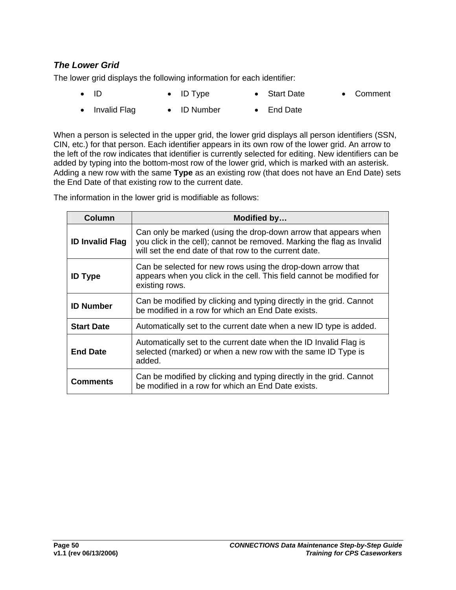### *The Lower Grid*

The lower grid displays the following information for each identifier:

- ID • ID Type • Start Date • Comment
- Invalid Flag • ID Number • End Date

When a person is selected in the upper grid, the lower grid displays all person identifiers (SSN, CIN, etc.) for that person. Each identifier appears in its own row of the lower grid. An arrow to the left of the row indicates that identifier is currently selected for editing. New identifiers can be added by typing into the bottom-most row of the lower grid, which is marked with an asterisk. Adding a new row with the same **Type** as an existing row (that does not have an End Date) sets the End Date of that existing row to the current date.

The information in the lower grid is modifiable as follows:

| <b>Column</b>          | Modified by                                                                                                                                                                                         |
|------------------------|-----------------------------------------------------------------------------------------------------------------------------------------------------------------------------------------------------|
| <b>ID Invalid Flag</b> | Can only be marked (using the drop-down arrow that appears when<br>you click in the cell); cannot be removed. Marking the flag as Invalid<br>will set the end date of that row to the current date. |
| <b>ID Type</b>         | Can be selected for new rows using the drop-down arrow that<br>appears when you click in the cell. This field cannot be modified for<br>existing rows.                                              |
| <b>ID Number</b>       | Can be modified by clicking and typing directly in the grid. Cannot<br>be modified in a row for which an End Date exists.                                                                           |
| <b>Start Date</b>      | Automatically set to the current date when a new ID type is added.                                                                                                                                  |
| <b>End Date</b>        | Automatically set to the current date when the ID Invalid Flag is<br>selected (marked) or when a new row with the same ID Type is<br>added.                                                         |
| Comments               | Can be modified by clicking and typing directly in the grid. Cannot<br>be modified in a row for which an End Date exists.                                                                           |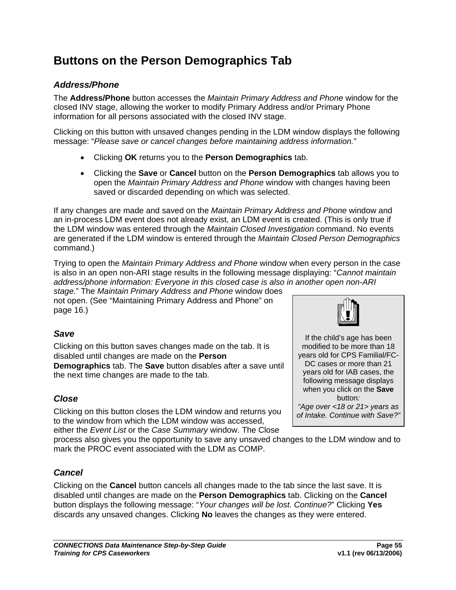## **Buttons on the Person Demographics Tab**

## *Address/Phone*

The **Address/Phone** button accesses the *Maintain Primary Address and Phone* window for the closed INV stage, allowing the worker to modify Primary Address and/or Primary Phone information for all persons associated with the closed INV stage.

Clicking on this button with unsaved changes pending in the LDM window displays the following message: "*Please save or cancel changes before maintaining address information.*"

- Clicking **OK** returns you to the **Person Demographics** tab.
- Clicking the **Save** or **Cancel** button on the **Person Demographics** tab allows you to open the *Maintain Primary Address and Phone* window with changes having been saved or discarded depending on which was selected.

If any changes are made and saved on the *Maintain Primary Address and Phone* window and an in-process LDM event does not already exist, an LDM event is created. (This is only true if the LDM window was entered through the *Maintain Closed Investigation* command. No events are generated if the LDM window is entered through the *Maintain Closed Person Demographics*  command.)

Trying to open the *Maintain Primary Address and Phone* window when every person in the case is also in an open non-ARI stage results in the following message displaying: "*Cannot maintain address/phone information: Everyone in this closed case is also in another open non-ARI stage.*" The *Maintain Primary Address and Phone* window does

not open. (See "[Maintaining Primary Address and Phone"](#page-18-0) on page [16.](#page-18-0))

## *Save*

Clicking on this button saves changes made on the tab. It is disabled until changes are made on the **Person Demographics** tab. The **Save** button disables after a save until the next time changes are made to the tab.

## *Close*

Clicking on this button closes the LDM window and returns you to the window from which the LDM window was accessed,

either the *Event List* or the *Case Summary* window. The Close process also gives you the opportunity to save any unsaved changes to the LDM window and to

mark the PROC event associated with the LDM as COMP.

### *Cancel*

Clicking on the **Cancel** button cancels all changes made to the tab since the last save. It is disabled until changes are made on the **Person Demographics** tab. Clicking on the **Cancel** button displays the following message: "*Your changes will be lost. Continue?*" Clicking **Yes** discards any unsaved changes. Clicking **No** leaves the changes as they were entered.



If the child's age has been modified to be more than 18 years old for CPS Familial/FC-DC cases or more than 21 years old for IAB cases, the following message displays when you click on the **Save** button*: "Age over <18 or 21> years as of Intake. Continue with Save?"*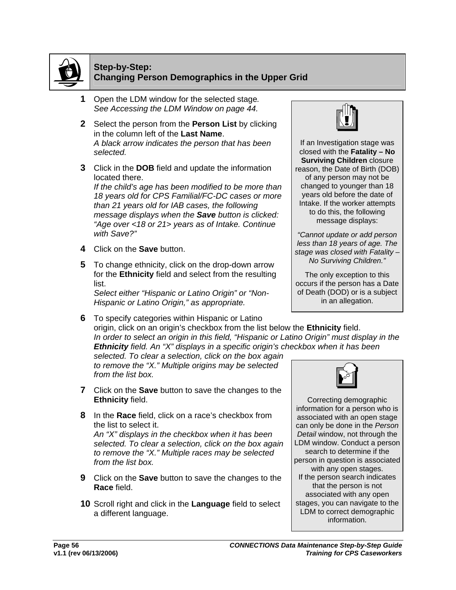

#### **Step-by-Step: Changing Person Demographics in the Upper Grid**

- **1** Open the LDM window for the selected stage*. See [Accessing the LDM Window](#page-46-0) on page [44.](#page-46-0)*
- **2** Select the person from the **Person List** by clicking in the column left of the **Last Name**. *A black arrow indicates the person that has been selected.*
- **3** Click in the **DOB** field and update the information located there.

*If the child's age has been modified to be more than 18 years old for CPS Familial/FC-DC cases or more than 21 years old for IAB cases, the following message displays when the Save button is clicked: "Age over <18 or 21> years as of Intake. Continue with Save?"*

- **4** Click on the **Save** button.
- **5** To change ethnicity, click on the drop-down arrow for the **Ethnicity** field and select from the resulting list.

*Select either "Hispanic or Latino Origin" or "Non-Hispanic or Latino Origin," as appropriate.*

**6** To specify categories within Hispanic or Latino origin, click on an origin's checkbox from the list below the **Ethnicity** field. *In order to select an origin in this field, "Hispanic or Latino Origin" must display in the Ethnicity field. An "X" displays in a specific origin's checkbox when it has been* 

*selected. To clear a selection, click on the box again to remove the "X." Multiple origins may be selected from the list box.*

- **7** Click on the **Save** button to save the changes to the **Ethnicity** field.
- **8** In the **Race** field, click on a race's checkbox from the list to select it. *An "X" displays in the checkbox when it has been selected. To clear a selection, click on the box again to remove the "X." Multiple races may be selected from the list box.*
- **9** Click on the **Save** button to save the changes to the **Race** field.
- **10** Scroll right and click in the **Language** field to select a different language.



If an Investigation stage was closed with the **Fatality – No Surviving Children** closure reason, the Date of Birth (DOB) of any person may not be changed to younger than 18 years old before the date of Intake. If the worker attempts to do this, the following message displays:

*"Cannot update or add person less than 18 years of age. The stage was closed with Fatality – No Surviving Children."*

The only exception to this occurs if the person has a Date of Death (DOD) or is a subject in an allegation.



Correcting demographic information for a person who is associated with an open stage can only be done in the *Person Detail* window, not through the LDM window. Conduct a person search to determine if the person in question is associated with any open stages. If the person search indicates that the person is not associated with any open stages, you can navigate to the LDM to correct demographic information.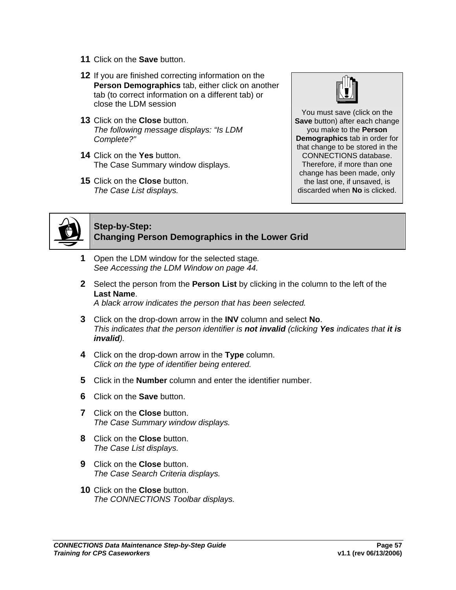- **11** Click on the **Save** button.
- **12** If you are finished correcting information on the **Person Demographics** tab, either click on another tab (to correct information on a different tab) or close the LDM session
- **13** Click on the **Close** button. *The following message displays: "Is LDM Complete?"*
- **14** Click on the **Yes** button. The Case Summary window displays.
- **15** Click on the **Close** button. *The Case List displays.*



You must save (click on the **Save** button) after each change you make to the **Person Demographics** tab in order for that change to be stored in the CONNECTIONS database. Therefore, if more than one change has been made, only the last one, if unsaved, is discarded when **No** is clicked.



## **Step-by-Step: Changing Person Demographics in the Lower Grid**

- **1** Open the LDM window for the selected stage*. See [Accessing the LDM Window](#page-46-0) on page [44.](#page-46-0)*
- **2** Select the person from the **Person List** by clicking in the column to the left of the **Last Name**.

*A black arrow indicates the person that has been selected.*

- **3** Click on the drop-down arrow in the **INV** column and select **No**. *This indicates that the person identifier is not invalid (clicking Yes indicates that it is invalid).*
- **4** Click on the drop-down arrow in the **Type** column. *Click on the type of identifier being entered.*
- **5** Click in the **Number** column and enter the identifier number.
- **6** Click on the **Save** button.
- **7** Click on the **Close** button. *The Case Summary window displays.*
- **8** Click on the **Close** button. *The Case List displays.*
- **9** Click on the **Close** button. *The Case Search Criteria displays.*
- **10** Click on the **Close** button. *The CONNECTIONS Toolbar displays.*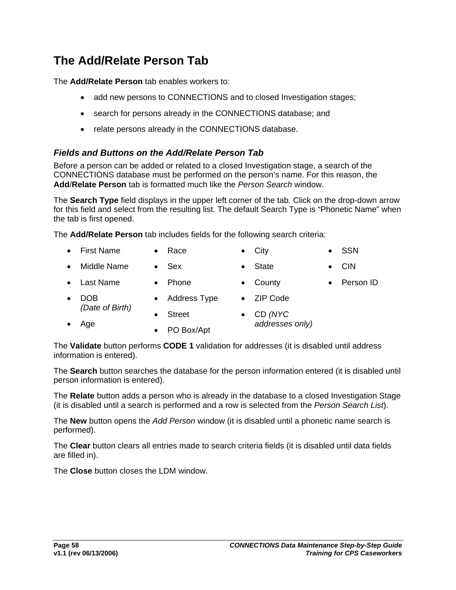## **The Add/Relate Person Tab**

The **Add/Relate Person** tab enables workers to:

- add new persons to CONNECTIONS and to closed Investigation stages;
- search for persons already in the CONNECTIONS database; and
- relate persons already in the CONNECTIONS database.

### *Fields and Buttons on the Add/Relate Person Tab*

Before a person can be added or related to a closed Investigation stage, a search of the CONNECTIONS database must be performed on the person's name. For this reason, the **Add**/**Relate Person** tab is formatted much like the *Person Search* window.

The **Search Type** field displays in the upper left corner of the tab. Click on the drop-down arrow for this field and select from the resulting list. The default Search Type is "Phonetic Name" when the tab is first opened.

The **Add/Relate Person** tab includes fields for the following search criteria:

- First Name • Race • City • SSN
- Middle Name • Sex • State • CIN
- Last Name
- County
- Person ID
- DOB *(Date of Birth)* • Address Type • Street • ZIP Code
- Age
	- PO Box/Apt

• Phone

• CD *(NYC addresses only)*

The **Validate** button performs **CODE 1** validation for addresses (it is disabled until address information is entered).

The **Search** button searches the database for the person information entered (it is disabled until person information is entered).

The **Relate** button adds a person who is already in the database to a closed Investigation Stage (it is disabled until a search is performed and a row is selected from the *Person Search List*).

The **New** button opens the *Add Person* window (it is disabled until a phonetic name search is performed).

The **Clear** button clears all entries made to search criteria fields (it is disabled until data fields are filled in).

The **Close** button closes the LDM window.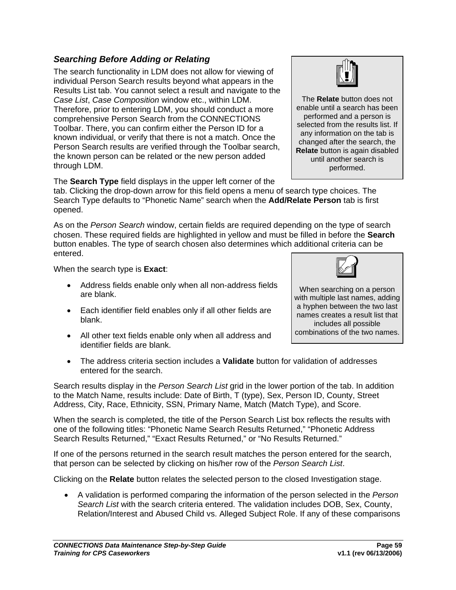### *Searching Before Adding or Relating*

The search functionality in LDM does not allow for viewing of individual Person Search results beyond what appears in the Results List tab. You cannot select a result and navigate to the *Case List*, *Case Composition* window etc., within LDM. Therefore, prior to entering LDM, you should conduct a more comprehensive Person Search from the CONNECTIONS Toolbar. There, you can confirm either the Person ID for a known individual, or verify that there is not a match. Once the Person Search results are verified through the Toolbar search, the known person can be related or the new person added through LDM.

The **Search Type** field displays in the upper left corner of the

tab. Clicking the drop-down arrow for this field opens a menu of search type choices. The Search Type defaults to "Phonetic Name" search when the **Add/Relate Person** tab is first opened.

As on the *Person Search* window, certain fields are required depending on the type of search chosen. These required fields are highlighted in yellow and must be filled in before the **Search**  button enables. The type of search chosen also determines which additional criteria can be entered.

When the search type is **Exact**:

- Address fields enable only when all non-address fields are blank.
- Each identifier field enables only if all other fields are blank.
- All other text fields enable only when all address and identifier fields are blank.
- entered for the search. Search results display in the *Person Search List* grid in the lower portion of the tab. In addition

to the Match Name, results include: Date of Birth, T (type), Sex, Person ID, County, Street Address, City, Race, Ethnicity, SSN, Primary Name, Match (Match Type), and Score.

• The address criteria section includes a **Validate** button for validation of addresses

When the search is completed, the title of the Person Search List box reflects the results with one of the following titles: "Phonetic Name Search Results Returned," "Phonetic Address Search Results Returned," "Exact Results Returned," or "No Results Returned."

If one of the persons returned in the search result matches the person entered for the search, that person can be selected by clicking on his/her row of the *Person Search List*.

Clicking on the **Relate** button relates the selected person to the closed Investigation stage.

• A validation is performed comparing the information of the person selected in the *Person Search List* with the search criteria entered. The validation includes DOB, Sex, County, Relation/Interest and Abused Child vs. Alleged Subject Role. If any of these comparisons



with multiple last names, adding a hyphen between the two last names creates a result list that includes all possible combinations of the two names.

The **Relate** button does not enable until a search has been performed and a person is selected from the results list. If any information on the tab is changed after the search, the **Relate** button is again disabled until another search is performed.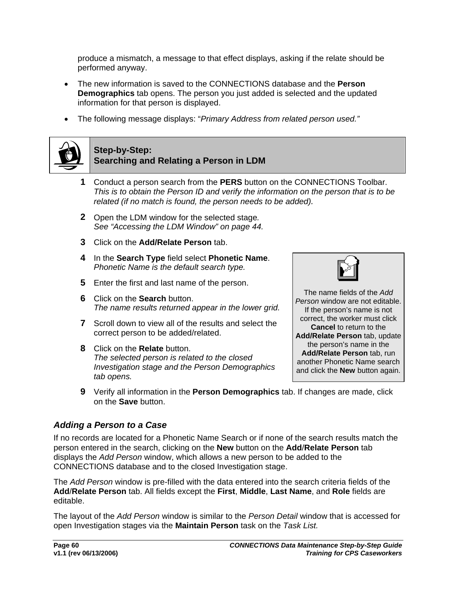produce a mismatch, a message to that effect displays, asking if the relate should be performed anyway.

- The new information is saved to the CONNECTIONS database and the **Person Demographics** tab opens. The person you just added is selected and the updated information for that person is displayed.
- The following message displays: "*Primary Address from related person used."*

<span id="page-58-0"></span>

#### **Step-by-Step: Searching and Relating a Person in LDM**

- **1** Conduct a person search from the **PERS** button on the CONNECTIONS Toolbar. *This is to obtain the Person ID and verify the information on the person that is to be related (if no match is found, the person needs to be added).*
- **2** Open the LDM window for the selected stage*. See ["Accessing the LDM Window](#page-46-0)" on page [44.](#page-46-0)*
- **3** Click on the **Add/Relate Person** tab.
- **4** In the **Search Type** field select **Phonetic Name**. *Phonetic Name is the default search type.*
- **5** Enter the first and last name of the person.
- **6** Click on the **Search** button. *The name results returned appear in the lower grid.*
- **7** Scroll down to view all of the results and select the correct person to be added/related.
- **8** Click on the **Relate** button. *The selected person is related to the closed Investigation stage and the Person Demographics tab opens.*



The name fields of the *Add Person* window are not editable. If the person's name is not correct, the worker must click **Cancel** to return to the **Add/Relate Person** tab, update the person's name in the **Add/Relate Person** tab, run another Phonetic Name search and click the **New** button again.

**9** Verify all information in the **Person Demographics** tab. If changes are made, click on the **Save** button.

## *Adding a Person to a Case*

If no records are located for a Phonetic Name Search or if none of the search results match the person entered in the search, clicking on the **New** button on the **Add**/**Relate Person** tab displays the *Add Person* window, which allows a new person to be added to the CONNECTIONS database and to the closed Investigation stage.

The *Add Person* window is pre-filled with the data entered into the search criteria fields of the **Add**/**Relate Person** tab. All fields except the **First**, **Middle**, **Last Name**, and **Role** fields are editable.

The layout of the *Add Person* window is similar to the *Person Detail* window that is accessed for open Investigation stages via the **Maintain Person** task on the *Task List.*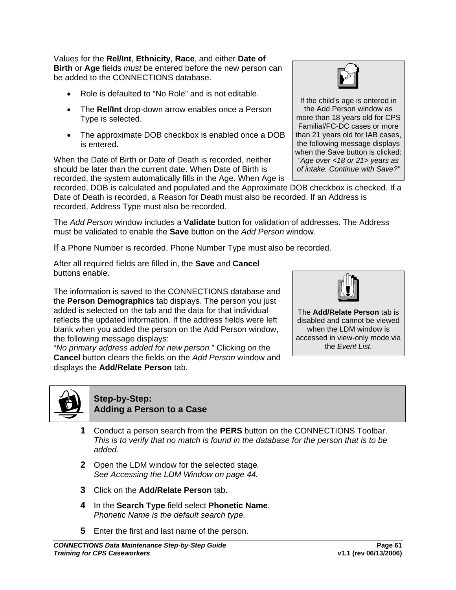Values for the **Rel/Int**, **Ethnicity**, **Race**, and either **Date of Birth** or **Age** fields *must* be entered before the new person can be added to the CONNECTIONS database.

- Role is defaulted to "No Role" and is not editable.
- The **Rel/Int** drop-down arrow enables once a Person Type is selected.
- The approximate DOB checkbox is enabled once a DOB is entered.

When the Date of Birth or Date of Death is recorded, neither should be later than the current date. When Date of Birth is recorded, the system automatically fills in the Age. When Age is

recorded, DOB is calculated and populated and the Approximate DOB checkbox is checked. If a Date of Death is recorded, a Reason for Death must also be recorded. If an Address is recorded, Address Type must also be recorded.

The *Add Person* window includes a **Validate** button for validation of addresses. The Address must be validated to enable the **Save** button on the *Add Person* window.

If a Phone Number is recorded, Phone Number Type must also be recorded.

After all required fields are filled in, the **Save** and **Cancel**  buttons enable.

The information is saved to the CONNECTIONS database and the **Person Demographics** tab displays. The person you just added is selected on the tab and the data for that individual reflects the updated information. If the address fields were left blank when you added the person on the Add Person window, the following message displays:

"*No primary address added for new person.*" Clicking on the **Cancel** button clears the fields on the *Add Person* window and displays the **Add/Relate Person** tab.



**Step-by-Step: Adding a Person to a Case** 

- **1** Conduct a person search from the **PERS** button on the CONNECTIONS Toolbar. *This is to verify that no match is found in the database for the person that is to be added.*
- **2** Open the LDM window for the selected stage*. See [Accessing the LDM Window](#page-46-0) on page [44.](#page-46-0)*
- **3** Click on the **Add/Relate Person** tab.
- **4** In the **Search Type** field select **Phonetic Name**. *Phonetic Name is the default search type.*
- **5** Enter the first and last name of the person.



If the child's age is entered in the Add Person window as more than 18 years old for CPS Familial/FC-DC cases or more than 21 years old for IAB cases, the following message displays when the Save button is clicked: *"Age over <18 or 21> years as of intake. Continue with Save?"* 



The **Add/Relate Person** tab is disabled and cannot be viewed when the LDM window is accessed in view-only mode via the *Event List*.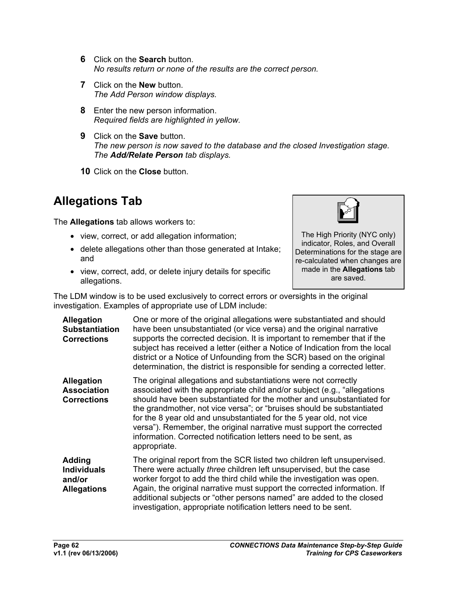- **6** Click on the **Search** button. *No results return or none of the results are the correct person.*
- **7** Click on the **New** button. *The Add Person window displays.*
- **8** Enter the new person information. *Required fields are highlighted in yellow.*
- **9** Click on the **Save** button. *The new person is now saved to the database and the closed Investigation stage. The Add/Relate Person tab displays.*
- **10** Click on the **Close** button.

## **Allegations Tab**

The **Allegations** tab allows workers to:

- view, correct, or add allegation information;
- delete allegations other than those generated at Intake; and
- view, correct, add, or delete injury details for specific allegations.



The High Priority (NYC only) indicator, Roles, and Overall Determinations for the stage are re-calculated when changes are made in the **Allegations** tab are saved.

The LDM window is to be used exclusively to correct errors or oversights in the original investigation. Examples of appropriate use of LDM include:

| <b>Allegation</b><br><b>Substantiation</b><br><b>Corrections</b>    | One or more of the original allegations were substantiated and should<br>have been unsubstantiated (or vice versa) and the original narrative<br>supports the corrected decision. It is important to remember that if the<br>subject has received a letter (either a Notice of Indication from the local<br>district or a Notice of Unfounding from the SCR) based on the original<br>determination, the district is responsible for sending a corrected letter.                                                                 |
|---------------------------------------------------------------------|----------------------------------------------------------------------------------------------------------------------------------------------------------------------------------------------------------------------------------------------------------------------------------------------------------------------------------------------------------------------------------------------------------------------------------------------------------------------------------------------------------------------------------|
| <b>Allegation</b><br><b>Association</b><br><b>Corrections</b>       | The original allegations and substantiations were not correctly<br>associated with the appropriate child and/or subject (e.g., "allegations"<br>should have been substantiated for the mother and unsubstantiated for<br>the grandmother, not vice versa"; or "bruises should be substantiated<br>for the 8 year old and unsubstantiated for the 5 year old, not vice<br>versa"). Remember, the original narrative must support the corrected<br>information. Corrected notification letters need to be sent, as<br>appropriate. |
| <b>Adding</b><br><b>Individuals</b><br>and/or<br><b>Allegations</b> | The original report from the SCR listed two children left unsupervised.<br>There were actually <i>three</i> children left unsupervised, but the case<br>worker forgot to add the third child while the investigation was open.<br>Again, the original narrative must support the corrected information. If<br>additional subjects or "other persons named" are added to the closed<br>investigation, appropriate notification letters need to be sent.                                                                           |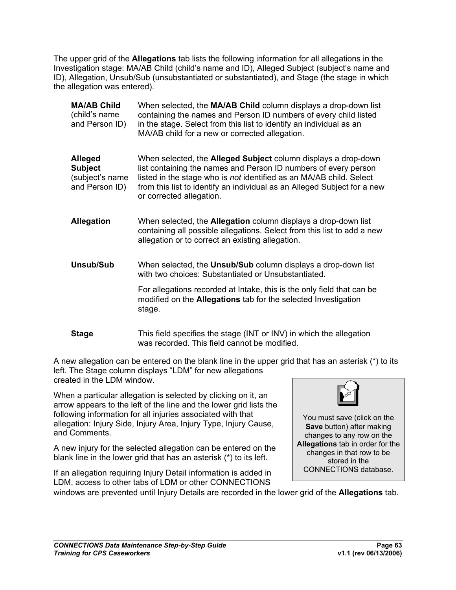The upper grid of the **Allegations** tab lists the following information for all allegations in the Investigation stage: MA/AB Child (child's name and ID), Alleged Subject (subject's name and ID), Allegation, Unsub/Sub (unsubstantiated or substantiated), and Stage (the stage in which the allegation was entered).

**MA/AB Child**  (child's name and Person ID) When selected, the **MA/AB Child** column displays a drop-down list containing the names and Person ID numbers of every child listed in the stage. Select from this list to identify an individual as an MA/AB child for a new or corrected allegation.

**Alleged Subject**  (subject's name and Person ID) When selected, the **Alleged Subject** column displays a drop-down list containing the names and Person ID numbers of every person listed in the stage who is *not* identified as an MA/AB child. Select from this list to identify an individual as an Alleged Subject for a new or corrected allegation.

**Allegation** When selected, the **Allegation** column displays a drop-down list containing all possible allegations. Select from this list to add a new allegation or to correct an existing allegation.

**Unsub/Sub** When selected, the **Unsub/Sub** column displays a drop-down list with two choices: Substantiated or Unsubstantiated.

> For allegations recorded at Intake, this is the only field that can be modified on the **Allegations** tab for the selected Investigation stage.

**Stage** This field specifies the stage (INT or INV) in which the allegation was recorded. This field cannot be modified.

A new allegation can be entered on the blank line in the upper grid that has an asterisk (\*) to its left. The Stage column displays "LDM" for new allegations created in the LDM window.

windows are prevented until Injury Details are recorded in the lower grid of the **Allegations** tab.

When a particular allegation is selected by clicking on it, an arrow appears to the left of the line and the lower grid lists the following information for all injuries associated with that allegation: Injury Side, Injury Area, Injury Type, Injury Cause, and Comments.

A new injury for the selected allegation can be entered on the blank line in the lower grid that has an asterisk (\*) to its left.

If an allegation requiring Injury Detail information is added in LDM, access to other tabs of LDM or other CONNECTIONS



You must save (click on the **Save** button) after making changes to any row on the **Allegations** tab in order for the changes in that row to be stored in the CONNECTIONS database.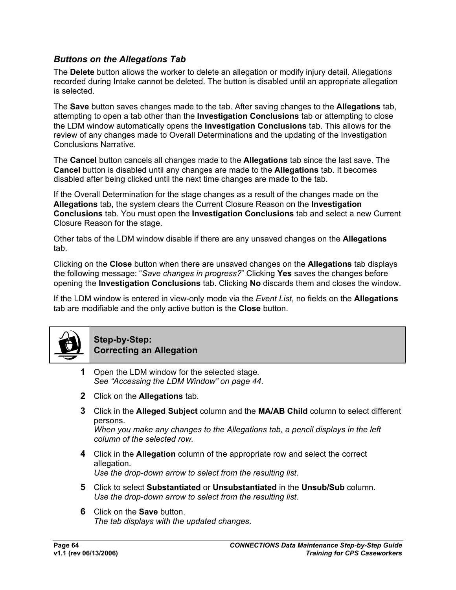### *Buttons on the Allegations Tab*

The **Delete** button allows the worker to delete an allegation or modify injury detail. Allegations recorded during Intake cannot be deleted. The button is disabled until an appropriate allegation is selected.

The **Save** button saves changes made to the tab. After saving changes to the **Allegations** tab, attempting to open a tab other than the **Investigation Conclusions** tab or attempting to close the LDM window automatically opens the **Investigation Conclusions** tab. This allows for the review of any changes made to Overall Determinations and the updating of the Investigation Conclusions Narrative.

The **Cancel** button cancels all changes made to the **Allegations** tab since the last save. The **Cancel** button is disabled until any changes are made to the **Allegations** tab. It becomes disabled after being clicked until the next time changes are made to the tab.

If the Overall Determination for the stage changes as a result of the changes made on the **Allegations** tab, the system clears the Current Closure Reason on the **Investigation Conclusions** tab. You must open the **Investigation Conclusions** tab and select a new Current Closure Reason for the stage.

Other tabs of the LDM window disable if there are any unsaved changes on the **Allegations**  tab.

Clicking on the **Close** button when there are unsaved changes on the **Allegations** tab displays the following message: "*Save changes in progress?*" Clicking **Yes** saves the changes before opening the **Investigation Conclusions** tab. Clicking **No** discards them and closes the window.

If the LDM window is entered in view-only mode via the *Event List*, no fields on the **Allegations**  tab are modifiable and the only active button is the **Close** button.



#### **Ste[p-by-Step:](#page-46-0)  Correcting an Allegation**

- **1** Open the LDM window for the selected stage*. See "Accessing the LDM Window" on page 44.*
- **2** Click on the **Allegations** tab.
- **3** Click in the **Alleged Subject** column and the **MA/AB Child** column to select different persons.

*When you make any changes to the Allegations tab, a pencil displays in the left column of the selected row.* 

- **4** Click in the **Allegation** column of the appropriate row and select the correct allegation. *Use the drop-down arrow to select from the resulting list.*
- **5** Click to select **Substantiated** or **Unsubstantiated** in the **Unsub/Sub** column. *Use the drop-down arrow to select from the resulting list.*
- **6** Click on the **Save** button. *The tab displays with the updated changes*.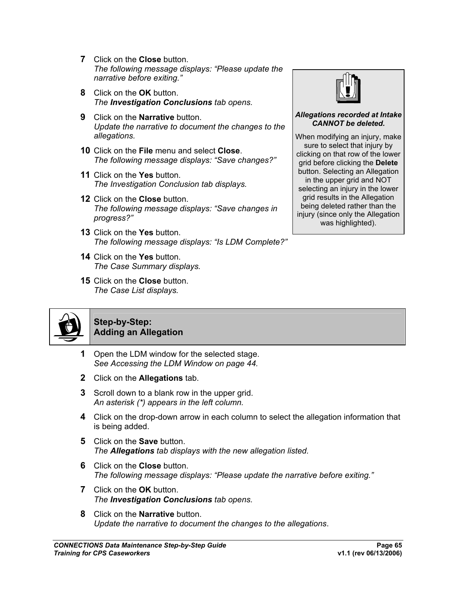- **7** Click on the **Close** button. *The following message displays: "Please update the narrative before exiting."*
- **8** Click on the **OK** button. *The Investigation Conclusions tab opens.*
- **9** Click on the **Narrative** button. *Update the narrative to document the changes to the allegations.*
- **10** Click on the **File** menu and select **Close**. *The following message displays: "Save changes?"*
- **11** Click on the **Yes** button. *The Investigation Conclusion tab displays.*
- **12** Click on the **Close** button. *The following message displays: "Save changes in progress?"*
- **13** Click on the **Yes** button. *The following message displays: "Is LDM Complete?"*
- **14** Click on the **Yes** button. *The Case Summary displays.*
- **15** Click on the **Close** button. *The Case List displays.*



#### *Allegations recorded at Intake CANNOT be deleted.*

When modifying an injury, make sure to select that injury by clicking on that row of the lower grid before clicking the **Delete** button. Selecting an Allegation in the upper grid and NOT selecting an injury in the lower grid results in the Allegation being deleted rather than the injury (since only the Allegation was highlighted).



#### **Ste[p-by-Step:](#page-46-0)  Adding an Allegation**

- **1** Open the LDM window for the selected stage. *See Accessing the LDM Window on page 44.*
- **2** Click on the **Allegations** tab.
- **3** Scroll down to a blank row in the upper grid. *An asterisk (\*) appears in the left column.*
- **4** Click on the drop-down arrow in each column to select the allegation information that is being added.
- **5** Click on the **Save** button. *The Allegations tab displays with the new allegation listed.*
- **6** Click on the **Close** button. *The following message displays: "Please update the narrative before exiting."*
- **7** Click on the **OK** button. *The Investigation Conclusions tab opens.*
- **8** Click on the **Narrative** button. *Update the narrative to document the changes to the allegations*.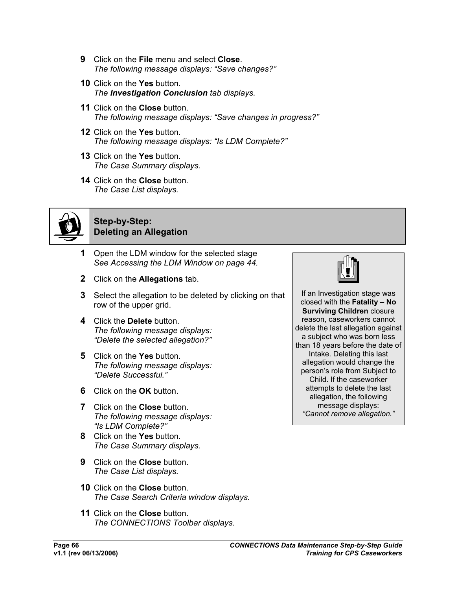- **9** Click on the **File** menu and select **Close**. *The following message displays: "Save changes?"*
- **10** Click on the **Yes** button. *The Investigation Conclusion tab displays.*
- **11** Click on the **Close** button. *The following message displays: "Save changes in progress?"*
- **12** Click on the **Yes** button. *The following message displays: "Is LDM Complete?"*
- **13** Click on the **Yes** button. *The Case Summary displays.*
- **14** Click on the **Close** button. *The Case List displays.*



#### **Ste[p-by-Step:](#page-46-0)  Deleting an Allegation**

- **1** Open the LDM window for the selected stage *See Accessing the LDM Window on page 44.*
- **2** Click on the **Allegations** tab.
- **3** Select the allegation to be deleted by clicking on that row of the upper grid.
- **4** Click the **Delete** button. *The following message displays: "Delete the selected allegation?"*
- **5** Click on the **Yes** button. *The following message displays: "Delete Successful."*
- **6** Click on the **OK** button.
- **7** Click on the **Close** button. *The following message displays: "Is LDM Complete?"*
- **8** Click on the **Yes** button. *The Case Summary displays.*
- **9** Click on the **Close** button. *The Case List displays.*
- **10** Click on the **Close** button. *The Case Search Criteria window displays.*
- **11** Click on the **Close** button. *The CONNECTIONS Toolbar displays.*



If an Investigation stage was closed with the **Fatality – No Surviving Children** closure reason, caseworkers cannot delete the last allegation against a subject who was born less than 18 years before the date of Intake. Deleting this last allegation would change the person's role from Subject to Child. If the caseworker attempts to delete the last allegation, the following message displays: *"Cannot remove allegation."*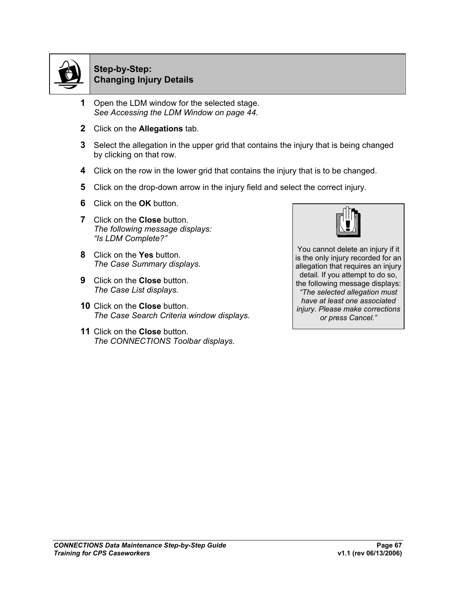

#### **Ste[p-by-Step:](#page-46-0)  Changing Injury Details**

- **1** Open the LDM window for the selected stage. *See Accessing the LDM Window on page 44.*
- **2** Click on the **Allegations** tab.
- **3** Select the allegation in the upper grid that contains the injury that is being changed by clicking on that row.
- **4** Click on the row in the lower grid that contains the injury that is to be changed.
- **5** Click on the drop-down arrow in the injury field and select the correct injury.
- **6** Click on the **OK** button.
- **7** Click on the **Close** button. *The following message displays: "Is LDM Complete?"*
- **8** Click on the **Yes** button. *The Case Summary displays.*
- **9** Click on the **Close** button. *The Case List displays.*
- **10** Click on the **Close** button. *The Case Search Criteria window displays.*
- **11** Click on the **Close** button. *The CONNECTIONS Toolbar displays.*



You cannot delete an injury if it is the only injury recorded for an allegation that requires an injury detail*.* If you attempt to do so, the following message displays: *"The selected allegation must have at least one associated injury. Please make corrections or press Cancel."*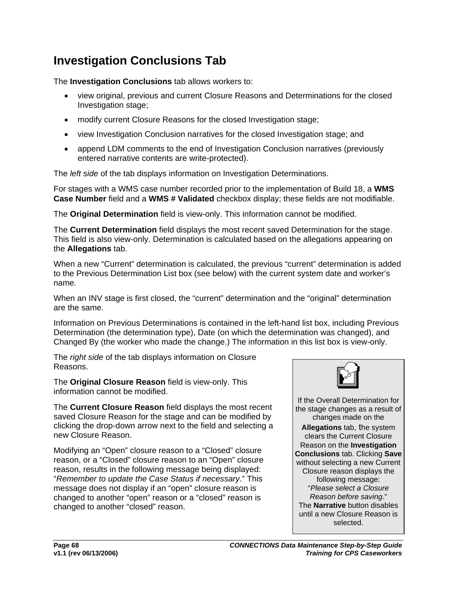## **Investigation Conclusions Tab**

The **Investigation Conclusions** tab allows workers to:

- view original, previous and current Closure Reasons and Determinations for the closed Investigation stage;
- modify current Closure Reasons for the closed Investigation stage;
- view Investigation Conclusion narratives for the closed Investigation stage; and
- append LDM comments to the end of Investigation Conclusion narratives (previously entered narrative contents are write-protected).

The *left side* of the tab displays information on Investigation Determinations.

For stages with a WMS case number recorded prior to the implementation of Build 18, a **WMS Case Number** field and a **WMS # Validated** checkbox display; these fields are not modifiable.

The **Original Determination** field is view-only. This information cannot be modified.

The **Current Determination** field displays the most recent saved Determination for the stage. This field is also view-only. Determination is calculated based on the allegations appearing on the **Allegations** tab.

When a new "Current" determination is calculated, the previous "current" determination is added to the Previous Determination List box (see below) with the current system date and worker's name.

When an INV stage is first closed, the "current" determination and the "original" determination are the same.

Information on Previous Determinations is contained in the left-hand list box, including Previous Determination (the determination type), Date (on which the determination was changed), and Changed By (the worker who made the change.) The information in this list box is view-only.

The *right side* of the tab displays information on Closure Reasons.

The **Original Closure Reason** field is view-only. This information cannot be modified.

The **Current Closure Reason** field displays the most recent saved Closure Reason for the stage and can be modified by clicking the drop-down arrow next to the field and selecting a new Closure Reason.

Modifying an "Open" closure reason to a "Closed" closure reason, or a "Closed" closure reason to an "Open" closure reason, results in the following message being displayed: "*Remember to update the Case Status if necessary*." This message does not display if an "open" closure reason is changed to another "open" reason or a "closed" reason is changed to another "closed" reason.



If the Overall Determination for the stage changes as a result of changes made on the

**Allegations** tab, the system clears the Current Closure Reason on the **Investigation Conclusions** tab. Clicking **Save** without selecting a new Current Closure reason displays the following message: "*Please select a Closure Reason before saving*." The **Narrative** button disables until a new Closure Reason is selected.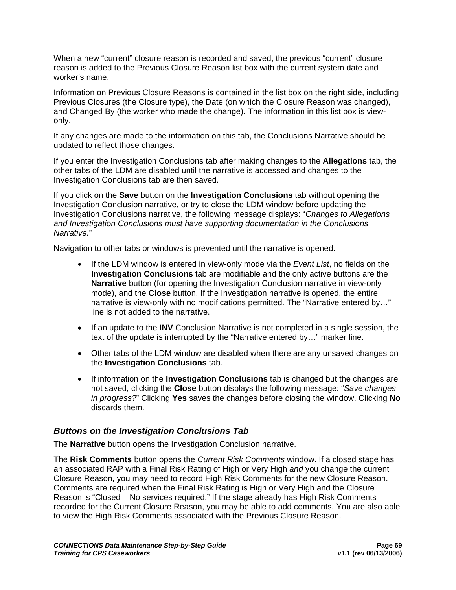When a new "current" closure reason is recorded and saved, the previous "current" closure reason is added to the Previous Closure Reason list box with the current system date and worker's name.

Information on Previous Closure Reasons is contained in the list box on the right side, including Previous Closures (the Closure type), the Date (on which the Closure Reason was changed), and Changed By (the worker who made the change). The information in this list box is viewonly.

If any changes are made to the information on this tab, the Conclusions Narrative should be updated to reflect those changes.

If you enter the Investigation Conclusions tab after making changes to the **Allegations** tab, the other tabs of the LDM are disabled until the narrative is accessed and changes to the Investigation Conclusions tab are then saved.

If you click on the **Save** button on the **Investigation Conclusions** tab without opening the Investigation Conclusion narrative, or try to close the LDM window before updating the Investigation Conclusions narrative, the following message displays: "*Changes to Allegations and Investigation Conclusions must have supporting documentation in the Conclusions Narrative.*"

Navigation to other tabs or windows is prevented until the narrative is opened.

- If the LDM window is entered in view-only mode via the *Event List*, no fields on the **Investigation Conclusions** tab are modifiable and the only active buttons are the **Narrative** button (for opening the Investigation Conclusion narrative in view-only mode), and the **Close** button. If the Investigation narrative is opened, the entire narrative is view-only with no modifications permitted. The "Narrative entered by…" line is not added to the narrative.
- If an update to the **INV** Conclusion Narrative is not completed in a single session, the text of the update is interrupted by the "Narrative entered by…" marker line.
- Other tabs of the LDM window are disabled when there are any unsaved changes on the **Investigation Conclusions** tab.
- If information on the **Investigation Conclusions** tab is changed but the changes are not saved, clicking the **Close** button displays the following message: "*Save changes in progress?*" Clicking **Yes** saves the changes before closing the window. Clicking **No**  discards them.

### *Buttons on the Investigation Conclusions Tab*

The **Narrative** button opens the Investigation Conclusion narrative.

The **Risk Comments** button opens the *Current Risk Comments* window. If a closed stage has an associated RAP with a Final Risk Rating of High or Very High *and* you change the current Closure Reason, you may need to record High Risk Comments for the new Closure Reason. Comments are required when the Final Risk Rating is High or Very High and the Closure Reason is "Closed – No services required." If the stage already has High Risk Comments recorded for the Current Closure Reason, you may be able to add comments. You are also able to view the High Risk Comments associated with the Previous Closure Reason.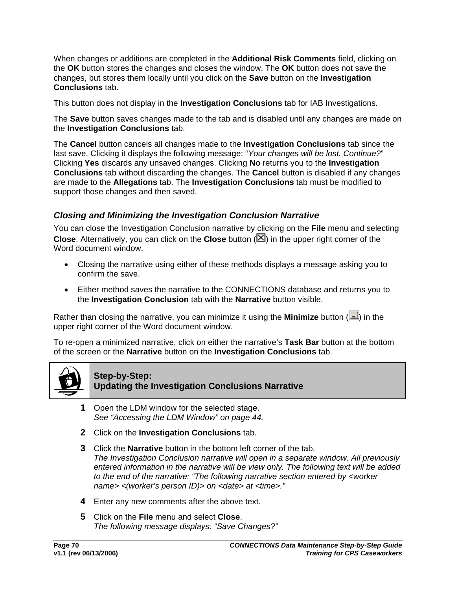When changes or additions are completed in the **Additional Risk Comments** field, clicking on the **OK** button stores the changes and closes the window. The **OK** button does not save the changes, but stores them locally until you click on the **Save** button on the **Investigation Conclusions** tab.

This button does not display in the **Investigation Conclusions** tab for IAB Investigations.

The **Save** button saves changes made to the tab and is disabled until any changes are made on the **Investigation Conclusions** tab.

The **Cancel** button cancels all changes made to the **Investigation Conclusions** tab since the last save. Clicking it displays the following message: "*Your changes will be lost. Continue?*" Clicking **Yes** discards any unsaved changes. Clicking **No** returns you to the **Investigation Conclusions** tab without discarding the changes. The **Cancel** button is disabled if any changes are made to the **Allegations** tab. The **Investigation Conclusions** tab must be modified to support those changes and then saved.

## *Closing and Minimizing the Investigation Conclusion Narrative*

You can close the Investigation Conclusion narrative by clicking on the **File** menu and selecting **Close**. Alternatively, you can click on the **Close** button ( $\boxtimes$ ) in the upper right corner of the Word document window.

- Closing the narrative using either of these methods displays a message asking you to confirm the save.
- Either method saves the narrative to the CONNECTIONS database and returns you to the **Investigation Conclusion** tab with the **Narrative** button visible.

Rather than closing the narrative, you can minimize it using the **Minimize** button ( $\blacksquare$ ) in the upper right corner of the Word document window.

To re-open a minimized narrative, click on either the narrative's **Task Bar** button at the bottom of the screen or the **Narrative** button on the **Investigation Conclusions** tab.



#### **Step-by-Step: Updating the Investigation Conclusions Narrative**

- **1** Open the LDM window for the selected stage. *See ["Accessing the LDM Window](#page-46-0)" on page [44.](#page-46-0)*
- **2** Click on the **Investigation Conclusions** tab.
- **3** Click the **Narrative** button in the bottom left corner of the tab. *The Investigation Conclusion narrative will open in a separate window. All previously entered information in the narrative will be view only. The following text will be added to the end of the narrative: "The following narrative section entered by <worker name> <(worker's person ID)> on <date> at <time>."*
- **4** Enter any new comments after the above text.
- **5** Click on the **File** menu and select **Close**. *The following message displays: "Save Changes?"*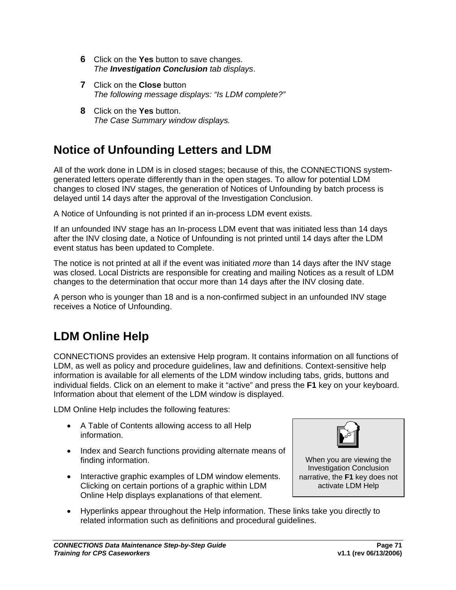- **6** Click on the **Yes** button to save changes. *The Investigation Conclusion tab displays*.
- **7** Click on the **Close** button *The following message displays: "Is LDM complete?"*
- **8** Click on the **Yes** button. *The Case Summary window displays.*

## **Notice of Unfounding Letters and LDM**

All of the work done in LDM is in closed stages; because of this, the CONNECTIONS systemgenerated letters operate differently than in the open stages. To allow for potential LDM changes to closed INV stages, the generation of Notices of Unfounding by batch process is delayed until 14 days after the approval of the Investigation Conclusion.

A Notice of Unfounding is not printed if an in-process LDM event exists.

If an unfounded INV stage has an In-process LDM event that was initiated less than 14 days after the INV closing date, a Notice of Unfounding is not printed until 14 days after the LDM event status has been updated to Complete.

The notice is not printed at all if the event was initiated *more* than 14 days after the INV stage was closed. Local Districts are responsible for creating and mailing Notices as a result of LDM changes to the determination that occur more than 14 days after the INV closing date.

A person who is younger than 18 and is a non-confirmed subject in an unfounded INV stage receives a Notice of Unfounding.

## **LDM Online Help**

CONNECTIONS provides an extensive Help program. It contains information on all functions of LDM, as well as policy and procedure guidelines, law and definitions. Context-sensitive help information is available for all elements of the LDM window including tabs, grids, buttons and individual fields. Click on an element to make it "active" and press the **F1** key on your keyboard. Information about that element of the LDM window is displayed.

LDM Online Help includes the following features:

- A Table of Contents allowing access to all Help information.
- Index and Search functions providing alternate means of finding information.
- Interactive graphic examples of LDM window elements. Clicking on certain portions of a graphic within LDM Online Help displays explanations of that element.



When you are viewing the Investigation Conclusion narrative, the **F1** key does not activate LDM Help

• Hyperlinks appear throughout the Help information. These links take you directly to related information such as definitions and procedural guidelines.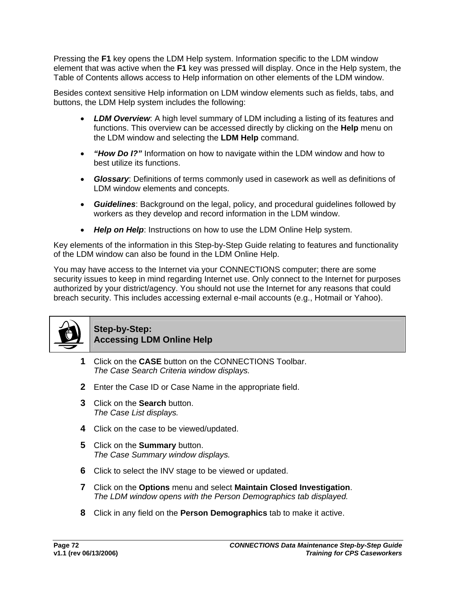Pressing the **F1** key opens the LDM Help system. Information specific to the LDM window element that was active when the **F1** key was pressed will display. Once in the Help system, the Table of Contents allows access to Help information on other elements of the LDM window.

Besides context sensitive Help information on LDM window elements such as fields, tabs, and buttons, the LDM Help system includes the following:

- *LDM Overview*: A high level summary of LDM including a listing of its features and functions. This overview can be accessed directly by clicking on the **Help** menu on the LDM window and selecting the **LDM Help** command.
- *"How Do I?"* Information on how to navigate within the LDM window and how to best utilize its functions.
- *Glossary*: Definitions of terms commonly used in casework as well as definitions of LDM window elements and concepts.
- *Guidelines*: Background on the legal, policy, and procedural guidelines followed by workers as they develop and record information in the LDM window.
- *Help on Help*: Instructions on how to use the LDM Online Help system.

Key elements of the information in this Step-by-Step Guide relating to features and functionality of the LDM window can also be found in the LDM Online Help.

You may have access to the Internet via your CONNECTIONS computer; there are some security issues to keep in mind regarding Internet use. Only connect to the Internet for purposes authorized by your district/agency. You should not use the Internet for any reasons that could breach security. This includes accessing external e-mail accounts (e.g., Hotmail or Yahoo).



## **Step-by-Step: Accessing LDM Online Help**

- **1** Click on the **CASE** button on the CONNECTIONS Toolbar. *The Case Search Criteria window displays.*
- **2** Enter the Case ID or Case Name in the appropriate field.
- **3** Click on the **Search** button. *The Case List displays.*
- **4** Click on the case to be viewed/updated.
- **5** Click on the **Summary** button. *The Case Summary window displays.*
- **6** Click to select the INV stage to be viewed or updated.
- **7** Click on the **Options** menu and select **Maintain Closed Investigation**. *The LDM window opens with the Person Demographics tab displayed.*
- **8** Click in any field on the **Person Demographics** tab to make it active.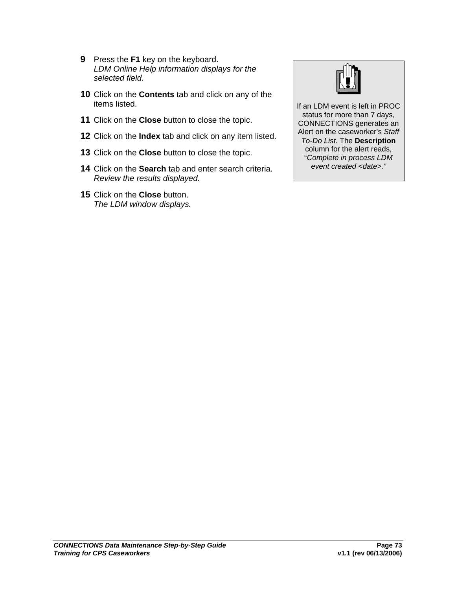- **9** Press the **F1** key on the keyboard. *LDM Online Help information displays for the selected field.*
- **10** Click on the **Contents** tab and click on any of the items listed.
- **11** Click on the **Close** button to close the topic.
- **12** Click on the **Index** tab and click on any item listed.
- **13** Click on the **Close** button to close the topic.
- **14** Click on the **Search** tab and enter search criteria. *Review the results displayed.*
- **15** Click on the **Close** button. *The LDM window displays.*



If an LDM event is left in PROC status for more than 7 days, CONNECTIONS generates an Alert on the caseworker's *Staff To-Do List*. The **Description** column for the alert reads, "*Complete in process LDM event created <date>."*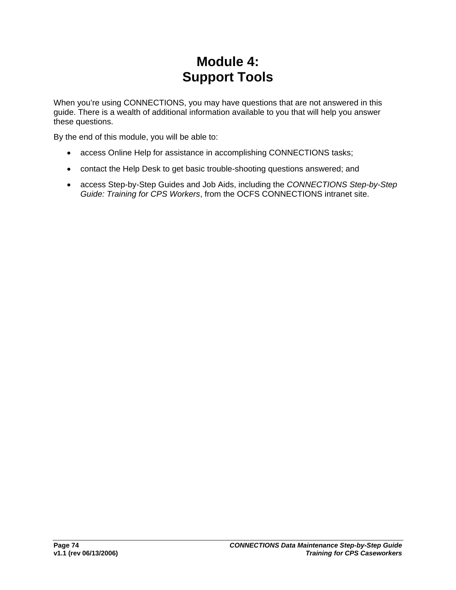# **Module 4: Support Tools**

When you're using CONNECTIONS, you may have questions that are not answered in this guide. There is a wealth of additional information available to you that will help you answer these questions.

By the end of this module, you will be able to:

- access Online Help for assistance in accomplishing CONNECTIONS tasks;
- contact the Help Desk to get basic trouble-shooting questions answered; and
- access Step-by-Step Guides and Job Aids, including the *CONNECTIONS Step-by-Step Guide: Training for CPS Workers*, from the OCFS CONNECTIONS intranet site.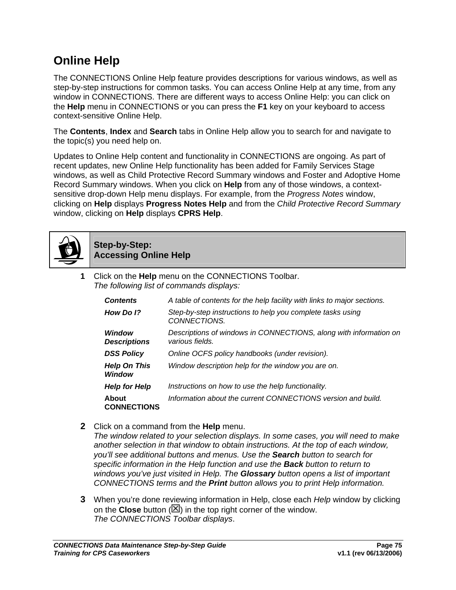#### **Online Help**

The CONNECTIONS Online Help feature provides descriptions for various windows, as well as step-by-step instructions for common tasks. You can access Online Help at any time, from any window in CONNECTIONS. There are different ways to access Online Help: you can click on the **Help** menu in CONNECTIONS or you can press the **F1** key on your keyboard to access context-sensitive Online Help.

The **Contents**, **Index** and **Search** tabs in Online Help allow you to search for and navigate to the topic(s) you need help on.

Updates to Online Help content and functionality in CONNECTIONS are ongoing. As part of recent updates, new Online Help functionality has been added for Family Services Stage windows, as well as Child Protective Record Summary windows and Foster and Adoptive Home Record Summary windows. When you click on **Help** from any of those windows, a contextsensitive drop-down Help menu displays. For example, from the *Progress Notes* window, clicking on **Help** displays **Progress Notes Help** and from the *Child Protective Record Summary* window, clicking on **Help** displays **CPRS Help**.



#### **Step-by-Step: Accessing Online Help**

**1** Click on the **Help** menu on the CONNECTIONS Toolbar. *The following list of commands displays:*

| <b>Contents</b>               | A table of contents for the help facility with links to major sections.              |
|-------------------------------|--------------------------------------------------------------------------------------|
| How Do 1?                     | Step-by-step instructions to help you complete tasks using<br>CONNECTIONS.           |
| Window<br><b>Descriptions</b> | Descriptions of windows in CONNECTIONS, along with information on<br>various fields. |
| <b>DSS Policy</b>             | Online OCFS policy handbooks (under revision).                                       |
| <b>Help On This</b><br>Window | Window description help for the window you are on.                                   |
| <b>Help for Help</b>          | Instructions on how to use the help functionality.                                   |
| About<br><b>CONNECTIONS</b>   | Information about the current CONNECTIONS version and build.                         |

**2** Click on a command from the **Help** menu.

*The window related to your selection displays. In some cases, you will need to make another selection in that window to obtain instructions. At the top of each window, you'll see additional buttons and menus. Use the Search button to search for specific information in the Help function and use the Back button to return to windows you've just visited in Help. The Glossary button opens a list of important CONNECTIONS terms and the Print button allows you to print Help information.*

**3** When you're done reviewing information in Help, close each *Help* window by clicking on the **Close** button  $(\boxtimes)$  in the top right corner of the window. *The CONNECTIONS Toolbar displays*.